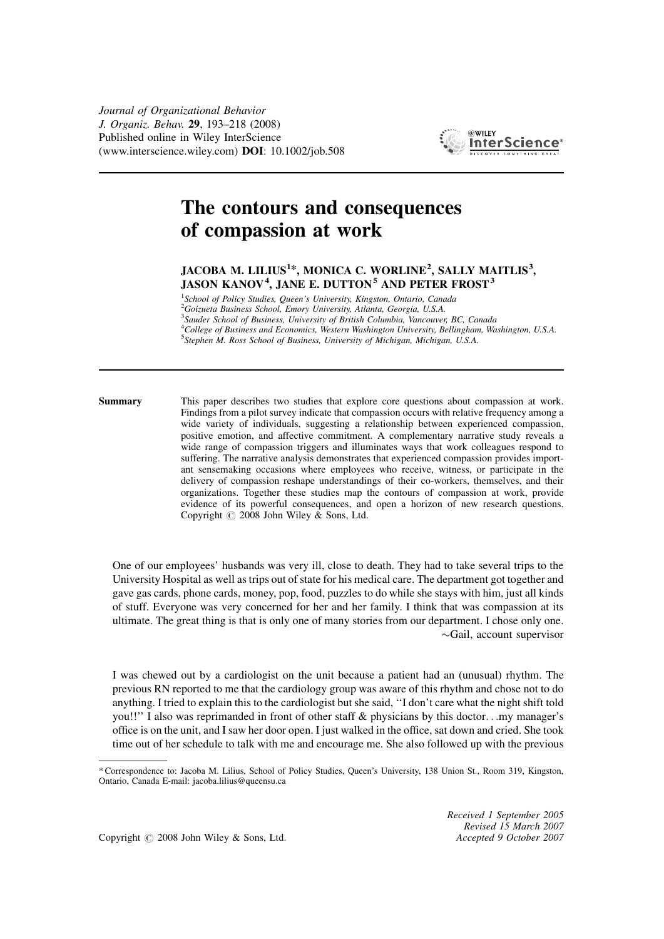Journal of Organizational Behavior J. Organiz. Behav. 29, 193–218 (2008) Published online in Wiley InterScience (www.interscience.wiley.com) DOI: 10.1002/job.508



# The contours and consequences of compassion at work

# JACOBA M. LILIUS<sup>1\*</sup>, MONICA C. WORLINE<sup>2</sup>, SALLY MAITLIS<sup>3</sup>, JASON KANOV $^4$ , JANE E. DUTTON $^5$  and peter frost  $^3$

<sup>1</sup>School of Policy Studies, Queen's University, Kingston, Ontario, Canada <sup>2</sup>Goizueta Business School, Emory University, Atlanta, Georgia, U.S.A. 3 Sauder School of Business, University of British Columbia, Vancouver, BC, Canada 4 College of Business and Economics, Western Washington University, Bellingham, Washington, U.S.A. <sup>5</sup>Stephen M. Ross School of Business, University of Michigan, Michigan, U.S.A.

Summary This paper describes two studies that explore core questions about compassion at work. Findings from a pilot survey indicate that compassion occurs with relative frequency among a wide variety of individuals, suggesting a relationship between experienced compassion, positive emotion, and affective commitment. A complementary narrative study reveals a wide range of compassion triggers and illuminates ways that work colleagues respond to suffering. The narrative analysis demonstrates that experienced compassion provides important sensemaking occasions where employees who receive, witness, or participate in the delivery of compassion reshape understandings of their co-workers, themselves, and their organizations. Together these studies map the contours of compassion at work, provide evidence of its powerful consequences, and open a horizon of new research questions. Copyright  $\odot$  2008 John Wiley & Sons, Ltd.

One of our employees' husbands was very ill, close to death. They had to take several trips to the University Hospital as well as trips out of state for his medical care. The department got together and gave gas cards, phone cards, money, pop, food, puzzles to do while she stays with him, just all kinds of stuff. Everyone was very concerned for her and her family. I think that was compassion at its ultimate. The great thing is that is only one of many stories from our department. I chose only one.  $\sim$ Gail, account supervisor

I was chewed out by a cardiologist on the unit because a patient had an (unusual) rhythm. The previous RN reported to me that the cardiology group was aware of this rhythm and chose not to do anything. I tried to explain this to the cardiologist but she said, ''I don't care what the night shift told you!!'' I also was reprimanded in front of other staff & physicians by this doctor...my manager's office is on the unit, and I saw her door open. I just walked in the office, sat down and cried. She took time out of her schedule to talk with me and encourage me. She also followed up with the previous

Received 1 September 2005 Revised 15 March 2007 Accepted 9 October 2007

Copyright  $\odot$  2008 John Wiley & Sons, Ltd.

<sup>\*</sup> Correspondence to: Jacoba M. Lilius, School of Policy Studies, Queen's University, 138 Union St., Room 319, Kingston, Ontario, Canada E-mail: jacoba.lilius@queensu.ca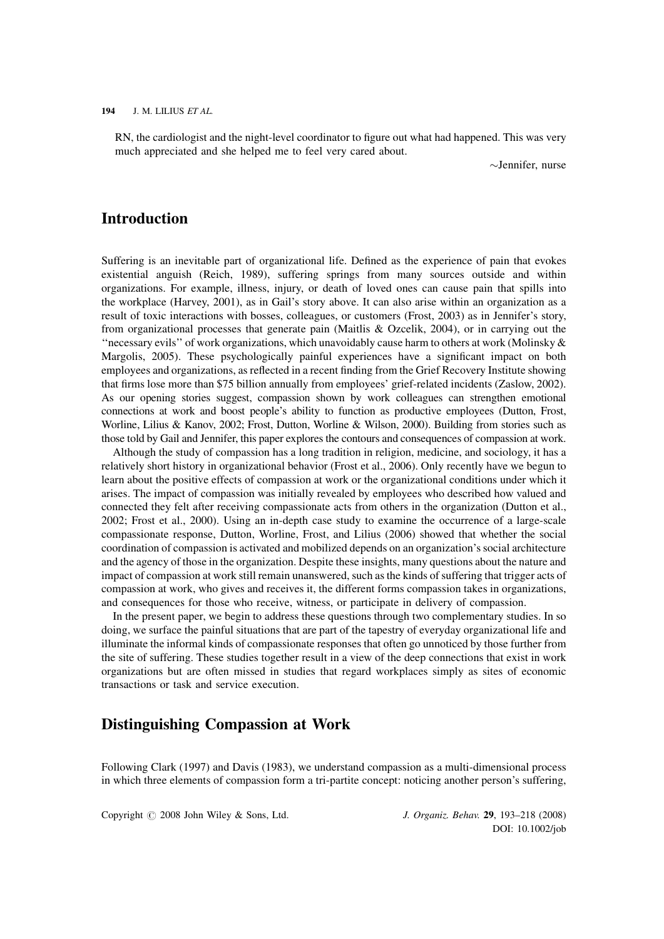RN, the cardiologist and the night-level coordinator to figure out what had happened. This was very much appreciated and she helped me to feel very cared about.

 $\sim$ Jennifer, nurse

# Introduction

Suffering is an inevitable part of organizational life. Defined as the experience of pain that evokes existential anguish (Reich, 1989), suffering springs from many sources outside and within organizations. For example, illness, injury, or death of loved ones can cause pain that spills into the workplace (Harvey, 2001), as in Gail's story above. It can also arise within an organization as a result of toxic interactions with bosses, colleagues, or customers (Frost, 2003) as in Jennifer's story, from organizational processes that generate pain (Maitlis & Ozcelik, 2004), or in carrying out the ''necessary evils'' of work organizations, which unavoidably cause harm to others at work (Molinsky & Margolis, 2005). These psychologically painful experiences have a significant impact on both employees and organizations, as reflected in a recent finding from the Grief Recovery Institute showing that firms lose more than \$75 billion annually from employees' grief-related incidents (Zaslow, 2002). As our opening stories suggest, compassion shown by work colleagues can strengthen emotional connections at work and boost people's ability to function as productive employees (Dutton, Frost, Worline, Lilius & Kanov, 2002; Frost, Dutton, Worline & Wilson, 2000). Building from stories such as those told by Gail and Jennifer, this paper explores the contours and consequences of compassion at work.

Although the study of compassion has a long tradition in religion, medicine, and sociology, it has a relatively short history in organizational behavior (Frost et al., 2006). Only recently have we begun to learn about the positive effects of compassion at work or the organizational conditions under which it arises. The impact of compassion was initially revealed by employees who described how valued and connected they felt after receiving compassionate acts from others in the organization (Dutton et al., 2002; Frost et al., 2000). Using an in-depth case study to examine the occurrence of a large-scale compassionate response, Dutton, Worline, Frost, and Lilius (2006) showed that whether the social coordination of compassion is activated and mobilized depends on an organization's social architecture and the agency of those in the organization. Despite these insights, many questions about the nature and impact of compassion at work still remain unanswered, such as the kinds of suffering that trigger acts of compassion at work, who gives and receives it, the different forms compassion takes in organizations, and consequences for those who receive, witness, or participate in delivery of compassion.

In the present paper, we begin to address these questions through two complementary studies. In so doing, we surface the painful situations that are part of the tapestry of everyday organizational life and illuminate the informal kinds of compassionate responses that often go unnoticed by those further from the site of suffering. These studies together result in a view of the deep connections that exist in work organizations but are often missed in studies that regard workplaces simply as sites of economic transactions or task and service execution.

# Distinguishing Compassion at Work

Following Clark (1997) and Davis (1983), we understand compassion as a multi-dimensional process in which three elements of compassion form a tri-partite concept: noticing another person's suffering,

Copyright  $\odot$  2008 John Wiley & Sons, Ltd. J. Organiz. Behav. 29, 193–218 (2008)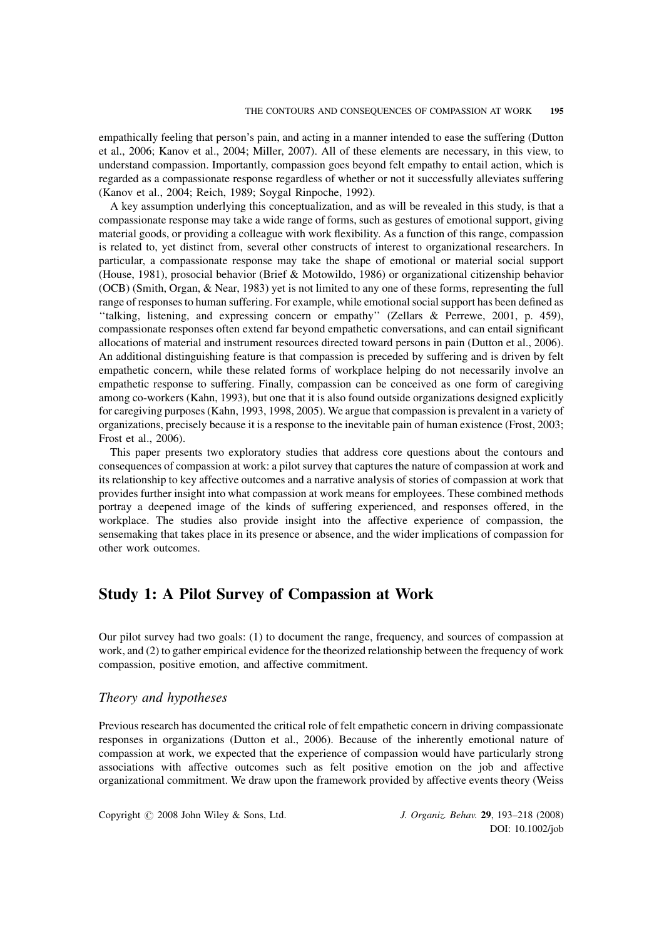empathically feeling that person's pain, and acting in a manner intended to ease the suffering (Dutton et al., 2006; Kanov et al., 2004; Miller, 2007). All of these elements are necessary, in this view, to understand compassion. Importantly, compassion goes beyond felt empathy to entail action, which is regarded as a compassionate response regardless of whether or not it successfully alleviates suffering (Kanov et al., 2004; Reich, 1989; Soygal Rinpoche, 1992).

A key assumption underlying this conceptualization, and as will be revealed in this study, is that a compassionate response may take a wide range of forms, such as gestures of emotional support, giving material goods, or providing a colleague with work flexibility. As a function of this range, compassion is related to, yet distinct from, several other constructs of interest to organizational researchers. In particular, a compassionate response may take the shape of emotional or material social support (House, 1981), prosocial behavior (Brief & Motowildo, 1986) or organizational citizenship behavior (OCB) (Smith, Organ, & Near, 1983) yet is not limited to any one of these forms, representing the full range of responses to human suffering. For example, while emotional social support has been defined as ''talking, listening, and expressing concern or empathy'' (Zellars & Perrewe, 2001, p. 459), compassionate responses often extend far beyond empathetic conversations, and can entail significant allocations of material and instrument resources directed toward persons in pain (Dutton et al., 2006). An additional distinguishing feature is that compassion is preceded by suffering and is driven by felt empathetic concern, while these related forms of workplace helping do not necessarily involve an empathetic response to suffering. Finally, compassion can be conceived as one form of caregiving among co-workers (Kahn, 1993), but one that it is also found outside organizations designed explicitly for caregiving purposes (Kahn, 1993, 1998, 2005). We argue that compassion is prevalent in a variety of organizations, precisely because it is a response to the inevitable pain of human existence (Frost, 2003; Frost et al., 2006).

This paper presents two exploratory studies that address core questions about the contours and consequences of compassion at work: a pilot survey that captures the nature of compassion at work and its relationship to key affective outcomes and a narrative analysis of stories of compassion at work that provides further insight into what compassion at work means for employees. These combined methods portray a deepened image of the kinds of suffering experienced, and responses offered, in the workplace. The studies also provide insight into the affective experience of compassion, the sensemaking that takes place in its presence or absence, and the wider implications of compassion for other work outcomes.

# Study 1: A Pilot Survey of Compassion at Work

Our pilot survey had two goals: (1) to document the range, frequency, and sources of compassion at work, and (2) to gather empirical evidence for the theorized relationship between the frequency of work compassion, positive emotion, and affective commitment.

### Theory and hypotheses

Previous research has documented the critical role of felt empathetic concern in driving compassionate responses in organizations (Dutton et al., 2006). Because of the inherently emotional nature of compassion at work, we expected that the experience of compassion would have particularly strong associations with affective outcomes such as felt positive emotion on the job and affective organizational commitment. We draw upon the framework provided by affective events theory (Weiss

Copyright  $\odot$  2008 John Wiley & Sons, Ltd. J. Organiz. Behav. 29, 193–218 (2008)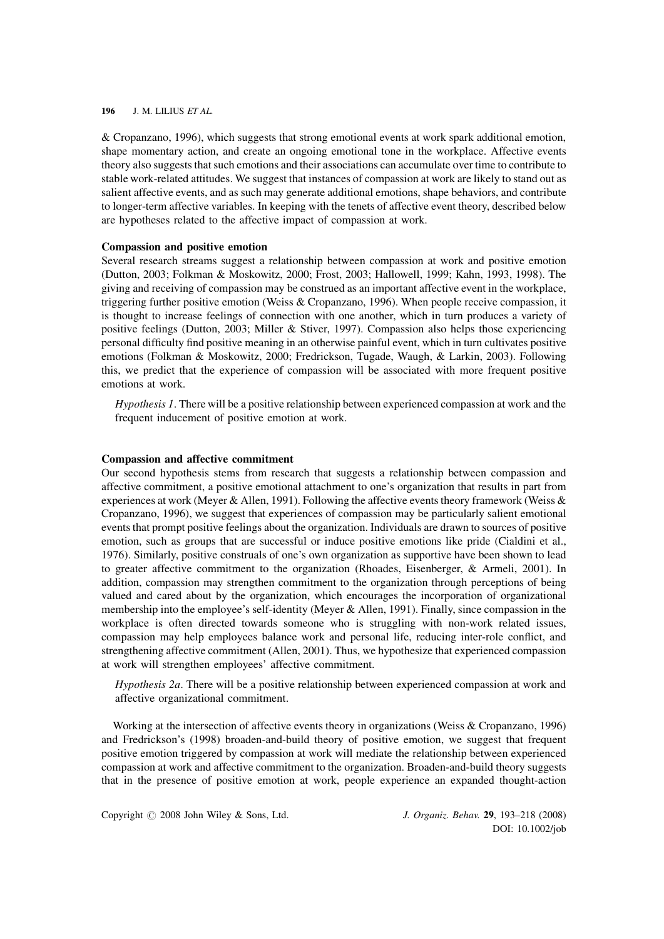& Cropanzano, 1996), which suggests that strong emotional events at work spark additional emotion, shape momentary action, and create an ongoing emotional tone in the workplace. Affective events theory also suggests that such emotions and their associations can accumulate over time to contribute to stable work-related attitudes. We suggest that instances of compassion at work are likely to stand out as salient affective events, and as such may generate additional emotions, shape behaviors, and contribute to longer-term affective variables. In keeping with the tenets of affective event theory, described below are hypotheses related to the affective impact of compassion at work.

#### Compassion and positive emotion

Several research streams suggest a relationship between compassion at work and positive emotion (Dutton, 2003; Folkman & Moskowitz, 2000; Frost, 2003; Hallowell, 1999; Kahn, 1993, 1998). The giving and receiving of compassion may be construed as an important affective event in the workplace, triggering further positive emotion (Weiss & Cropanzano, 1996). When people receive compassion, it is thought to increase feelings of connection with one another, which in turn produces a variety of positive feelings (Dutton, 2003; Miller & Stiver, 1997). Compassion also helps those experiencing personal difficulty find positive meaning in an otherwise painful event, which in turn cultivates positive emotions (Folkman & Moskowitz, 2000; Fredrickson, Tugade, Waugh, & Larkin, 2003). Following this, we predict that the experience of compassion will be associated with more frequent positive emotions at work.

Hypothesis 1. There will be a positive relationship between experienced compassion at work and the frequent inducement of positive emotion at work.

### Compassion and affective commitment

Our second hypothesis stems from research that suggests a relationship between compassion and affective commitment, a positive emotional attachment to one's organization that results in part from experiences at work (Meyer & Allen, 1991). Following the affective events theory framework (Weiss  $\&$ Cropanzano, 1996), we suggest that experiences of compassion may be particularly salient emotional events that prompt positive feelings about the organization. Individuals are drawn to sources of positive emotion, such as groups that are successful or induce positive emotions like pride (Cialdini et al., 1976). Similarly, positive construals of one's own organization as supportive have been shown to lead to greater affective commitment to the organization (Rhoades, Eisenberger, & Armeli, 2001). In addition, compassion may strengthen commitment to the organization through perceptions of being valued and cared about by the organization, which encourages the incorporation of organizational membership into the employee's self-identity (Meyer & Allen, 1991). Finally, since compassion in the workplace is often directed towards someone who is struggling with non-work related issues, compassion may help employees balance work and personal life, reducing inter-role conflict, and strengthening affective commitment (Allen, 2001). Thus, we hypothesize that experienced compassion at work will strengthen employees' affective commitment.

Hypothesis 2a. There will be a positive relationship between experienced compassion at work and affective organizational commitment.

Working at the intersection of affective events theory in organizations (Weiss & Cropanzano, 1996) and Fredrickson's (1998) broaden-and-build theory of positive emotion, we suggest that frequent positive emotion triggered by compassion at work will mediate the relationship between experienced compassion at work and affective commitment to the organization. Broaden-and-build theory suggests that in the presence of positive emotion at work, people experience an expanded thought-action

Copyright  $\odot$  2008 John Wiley & Sons, Ltd. J. Organiz. Behav. 29, 193–218 (2008)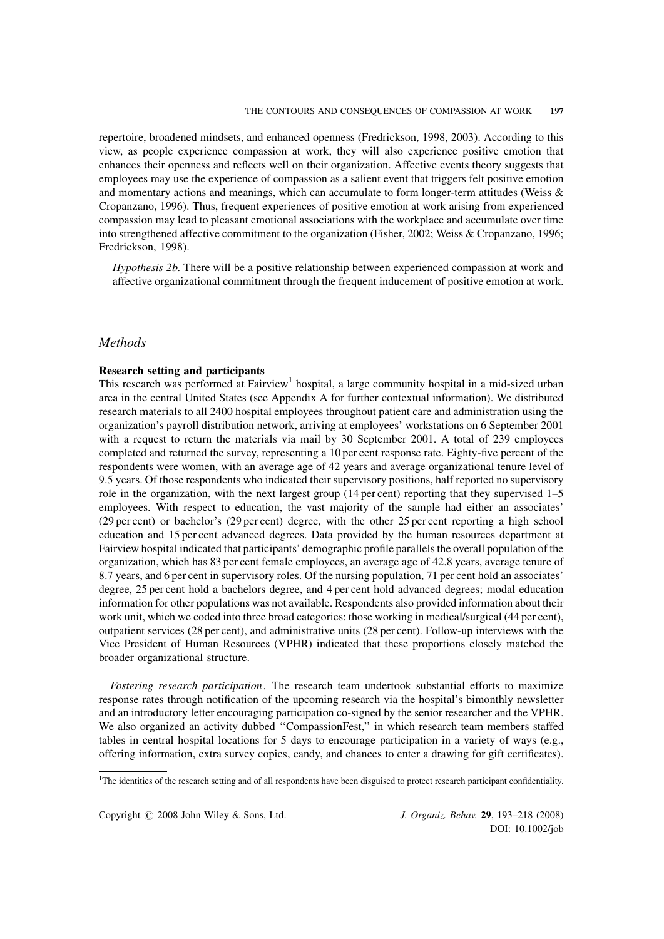repertoire, broadened mindsets, and enhanced openness (Fredrickson, 1998, 2003). According to this view, as people experience compassion at work, they will also experience positive emotion that enhances their openness and reflects well on their organization. Affective events theory suggests that employees may use the experience of compassion as a salient event that triggers felt positive emotion and momentary actions and meanings, which can accumulate to form longer-term attitudes (Weiss  $\&$ Cropanzano, 1996). Thus, frequent experiences of positive emotion at work arising from experienced compassion may lead to pleasant emotional associations with the workplace and accumulate over time into strengthened affective commitment to the organization (Fisher, 2002; Weiss & Cropanzano, 1996; Fredrickson, 1998).

Hypothesis 2b. There will be a positive relationship between experienced compassion at work and affective organizational commitment through the frequent inducement of positive emotion at work.

# Methods

### Research setting and participants

This research was performed at Fairview<sup>1</sup> hospital, a large community hospital in a mid-sized urban area in the central United States (see Appendix A for further contextual information). We distributed research materials to all 2400 hospital employees throughout patient care and administration using the organization's payroll distribution network, arriving at employees' workstations on 6 September 2001 with a request to return the materials via mail by 30 September 2001. A total of 239 employees completed and returned the survey, representing a 10 per cent response rate. Eighty-five percent of the respondents were women, with an average age of 42 years and average organizational tenure level of 9.5 years. Of those respondents who indicated their supervisory positions, half reported no supervisory role in the organization, with the next largest group (14 per cent) reporting that they supervised 1–5 employees. With respect to education, the vast majority of the sample had either an associates' (29 per cent) or bachelor's (29 per cent) degree, with the other 25 per cent reporting a high school education and 15 per cent advanced degrees. Data provided by the human resources department at Fairview hospital indicated that participants' demographic profile parallels the overall population of the organization, which has 83 per cent female employees, an average age of 42.8 years, average tenure of 8.7 years, and 6 per cent in supervisory roles. Of the nursing population, 71 per cent hold an associates' degree, 25 per cent hold a bachelors degree, and 4 per cent hold advanced degrees; modal education information for other populations was not available. Respondents also provided information about their work unit, which we coded into three broad categories: those working in medical/surgical (44 per cent), outpatient services (28 per cent), and administrative units (28 per cent). Follow-up interviews with the Vice President of Human Resources (VPHR) indicated that these proportions closely matched the broader organizational structure.

Fostering research participation. The research team undertook substantial efforts to maximize response rates through notification of the upcoming research via the hospital's bimonthly newsletter and an introductory letter encouraging participation co-signed by the senior researcher and the VPHR. We also organized an activity dubbed "CompassionFest," in which research team members staffed tables in central hospital locations for 5 days to encourage participation in a variety of ways (e.g., offering information, extra survey copies, candy, and chances to enter a drawing for gift certificates).

Copyright © 2008 John Wiley & Sons, Ltd. J. Organiz. Behav. 29, 193-218 (2008)

<sup>&</sup>lt;sup>1</sup>The identities of the research setting and of all respondents have been disguised to protect research participant confidentiality.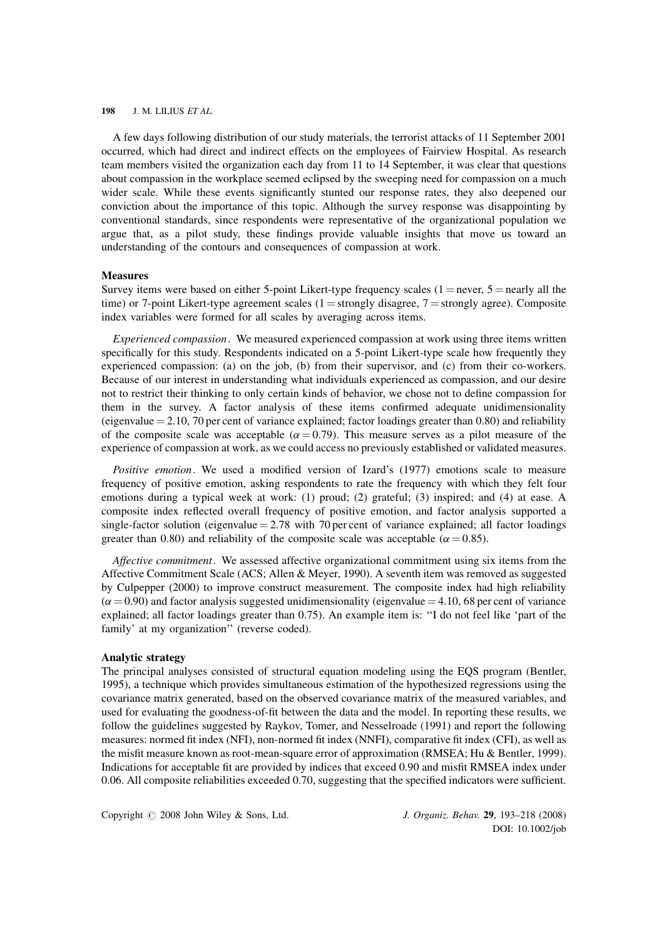A few days following distribution of our study materials, the terrorist attacks of 11 September 2001 occurred, which had direct and indirect effects on the employees of Fairview Hospital. As research team members visited the organization each day from 11 to 14 September, it was clear that questions about compassion in the workplace seemed eclipsed by the sweeping need for compassion on a much wider scale. While these events significantly stunted our response rates, they also deepened our conviction about the importance of this topic. Although the survey response was disappointing by conventional standards, since respondents were representative of the organizational population we argue that, as a pilot study, these findings provide valuable insights that move us toward an understanding of the contours and consequences of compassion at work.

### **Measures**

Survey items were based on either 5-point Likert-type frequency scales  $(1 = never, 5 = nearly \text{ all the})$ time) or 7-point Likert-type agreement scales  $(1 =$ strongly disagree,  $7 =$ strongly agree). Composite index variables were formed for all scales by averaging across items.

Experienced compassion. We measured experienced compassion at work using three items written specifically for this study. Respondents indicated on a 5-point Likert-type scale how frequently they experienced compassion: (a) on the job, (b) from their supervisor, and (c) from their co-workers. Because of our interest in understanding what individuals experienced as compassion, and our desire not to restrict their thinking to only certain kinds of behavior, we chose not to define compassion for them in the survey. A factor analysis of these items confirmed adequate unidimensionality (eigenvalue  $= 2.10$ , 70 per cent of variance explained; factor loadings greater than 0.80) and reliability of the composite scale was acceptable ( $\alpha = 0.79$ ). This measure serves as a pilot measure of the experience of compassion at work, as we could access no previously established or validated measures.

Positive emotion. We used a modified version of Izard's (1977) emotions scale to measure frequency of positive emotion, asking respondents to rate the frequency with which they felt four emotions during a typical week at work: (1) proud; (2) grateful; (3) inspired; and (4) at ease. A composite index reflected overall frequency of positive emotion, and factor analysis supported a single-factor solution (eigenvalue  $=$  2.78 with 70 per cent of variance explained; all factor loadings greater than 0.80) and reliability of the composite scale was acceptable ( $\alpha = 0.85$ ).

Affective commitment. We assessed affective organizational commitment using six items from the Affective Commitment Scale (ACS; Allen & Meyer, 1990). A seventh item was removed as suggested by Culpepper (2000) to improve construct measurement. The composite index had high reliability  $(\alpha = 0.90)$  and factor analysis suggested unidimensionality (eigenvalue = 4.10, 68 per cent of variance explained; all factor loadings greater than 0.75). An example item is: ''I do not feel like 'part of the family' at my organization" (reverse coded).

### Analytic strategy

The principal analyses consisted of structural equation modeling using the EQS program (Bentler, 1995), a technique which provides simultaneous estimation of the hypothesized regressions using the covariance matrix generated, based on the observed covariance matrix of the measured variables, and used for evaluating the goodness-of-fit between the data and the model. In reporting these results, we follow the guidelines suggested by Raykov, Tomer, and Nesselroade (1991) and report the following measures: normed fit index (NFI), non-normed fit index (NNFI), comparative fit index (CFI), as well as the misfit measure known as root-mean-square error of approximation (RMSEA; Hu & Bentler, 1999). Indications for acceptable fit are provided by indices that exceed 0.90 and misfit RMSEA index under 0.06. All composite reliabilities exceeded 0.70, suggesting that the specified indicators were sufficient.

Copyright  $\odot$  2008 John Wiley & Sons, Ltd. J. Organiz. Behav. 29, 193–218 (2008)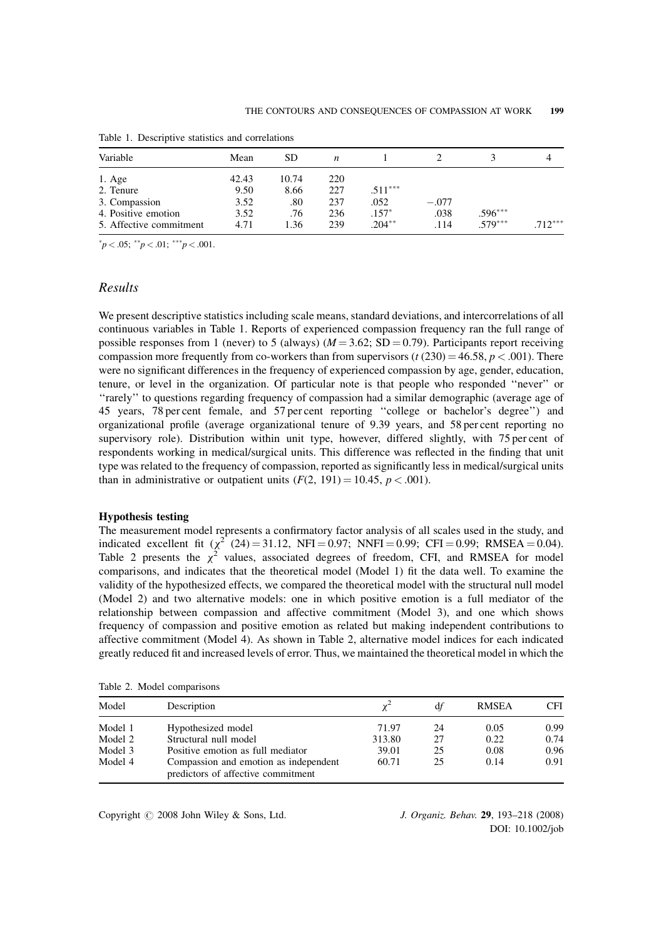| Variable                                                    | Mean                          | SD                          | n                        |                              |                 |           | 4         |
|-------------------------------------------------------------|-------------------------------|-----------------------------|--------------------------|------------------------------|-----------------|-----------|-----------|
| 1. Age<br>2. Tenure<br>3. Compassion<br>4. Positive emotion | 42.43<br>9.50<br>3.52<br>3.52 | 10.74<br>8.66<br>.80<br>.76 | 220<br>227<br>237<br>236 | $.511***$<br>.052<br>$.157*$ | $-.077$<br>.038 | $.596***$ |           |
| 5. Affective commitment                                     | 4.71                          | 1.36                        | 239                      | $.204***$                    | .114            | $.579***$ | $.712***$ |

Table 1. Descriptive statistics and correlations

 $p < .05;$   $*^{*}p < .01;$   $*^{**}p < .001.$ 

# Results

We present descriptive statistics including scale means, standard deviations, and intercorrelations of all continuous variables in Table 1. Reports of experienced compassion frequency ran the full range of possible responses from 1 (never) to 5 (always) ( $M = 3.62$ ; SD = 0.79). Participants report receiving compassion more frequently from co-workers than from supervisors  $(t (230) = 46.58, p < .001)$ . There were no significant differences in the frequency of experienced compassion by age, gender, education, tenure, or level in the organization. Of particular note is that people who responded ''never'' or ''rarely'' to questions regarding frequency of compassion had a similar demographic (average age of 45 years, 78 per cent female, and 57 per cent reporting ''college or bachelor's degree'') and organizational profile (average organizational tenure of 9.39 years, and 58 per cent reporting no supervisory role). Distribution within unit type, however, differed slightly, with 75 per cent of respondents working in medical/surgical units. This difference was reflected in the finding that unit type was related to the frequency of compassion, reported as significantly less in medical/surgical units than in administrative or outpatient units  $(F(2, 191) = 10.45, p < .001)$ .

### Hypothesis testing

The measurement model represents a confirmatory factor analysis of all scales used in the study, and indicated excellent fit  $(\chi^2 (24) = 31.12, \text{ NFI} = 0.97; \text{ NNFI} = 0.99; \text{ CFI} = 0.99; \text{ RMSEA} = 0.04)$ . Table 2 presents the  $\chi^2$  values, associated degrees of freedom, CFI, and RMSEA for model comparisons, and indicates that the theoretical model (Model 1) fit the data well. To examine the validity of the hypothesized effects, we compared the theoretical model with the structural null model (Model 2) and two alternative models: one in which positive emotion is a full mediator of the relationship between compassion and affective commitment (Model 3), and one which shows frequency of compassion and positive emotion as related but making independent contributions to affective commitment (Model 4). As shown in Table 2, alternative model indices for each indicated greatly reduced fit and increased levels of error. Thus, we maintained the theoretical model in which the

Table 2. Model comparisons

| Model   | Description                                                                 |        | df | RMSEA | <b>CFI</b> |
|---------|-----------------------------------------------------------------------------|--------|----|-------|------------|
| Model 1 | Hypothesized model                                                          | 71.97  | 24 | 0.05  | 0.99       |
| Model 2 | Structural null model                                                       | 313.80 | 27 | 0.22  | 0.74       |
| Model 3 | Positive emotion as full mediator                                           | 39.01  | 25 | 0.08  | 0.96       |
| Model 4 | Compassion and emotion as independent<br>predictors of affective commitment | 60.71  | 25 | 0.14  | 0.91       |

Copyright  $\odot$  2008 John Wiley & Sons, Ltd. J. Organiz. Behav. 29, 193–218 (2008)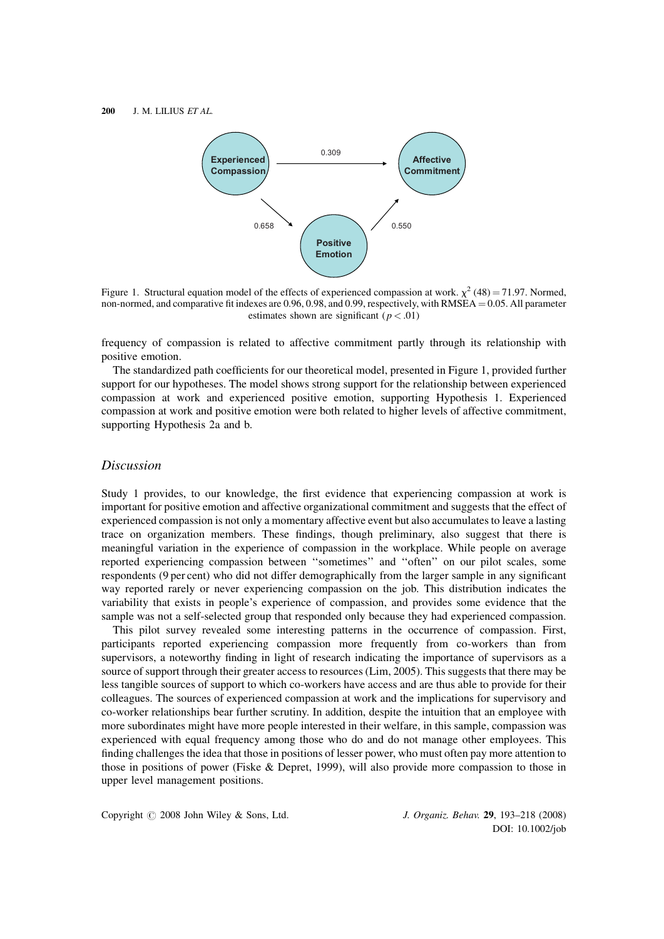

Figure 1. Structural equation model of the effects of experienced compassion at work.  $\chi^2$  (48) = 71.97. Normed, non-normed, and comparative fit indexes are  $0.96, 0.98$ , and  $0.99$ , respectively, with RMSEA = 0.05. All parameter estimates shown are significant ( $p < .01$ )

frequency of compassion is related to affective commitment partly through its relationship with positive emotion.

The standardized path coefficients for our theoretical model, presented in Figure 1, provided further support for our hypotheses. The model shows strong support for the relationship between experienced compassion at work and experienced positive emotion, supporting Hypothesis 1. Experienced compassion at work and positive emotion were both related to higher levels of affective commitment, supporting Hypothesis 2a and b.

### Discussion

Study 1 provides, to our knowledge, the first evidence that experiencing compassion at work is important for positive emotion and affective organizational commitment and suggests that the effect of experienced compassion is not only a momentary affective event but also accumulates to leave a lasting trace on organization members. These findings, though preliminary, also suggest that there is meaningful variation in the experience of compassion in the workplace. While people on average reported experiencing compassion between ''sometimes'' and ''often'' on our pilot scales, some respondents (9 per cent) who did not differ demographically from the larger sample in any significant way reported rarely or never experiencing compassion on the job. This distribution indicates the variability that exists in people's experience of compassion, and provides some evidence that the sample was not a self-selected group that responded only because they had experienced compassion.

This pilot survey revealed some interesting patterns in the occurrence of compassion. First, participants reported experiencing compassion more frequently from co-workers than from supervisors, a noteworthy finding in light of research indicating the importance of supervisors as a source of support through their greater access to resources (Lim, 2005). This suggests that there may be less tangible sources of support to which co-workers have access and are thus able to provide for their colleagues. The sources of experienced compassion at work and the implications for supervisory and co-worker relationships bear further scrutiny. In addition, despite the intuition that an employee with more subordinates might have more people interested in their welfare, in this sample, compassion was experienced with equal frequency among those who do and do not manage other employees. This finding challenges the idea that those in positions of lesser power, who must often pay more attention to those in positions of power (Fiske & Depret, 1999), will also provide more compassion to those in upper level management positions.

Copyright  $\odot$  2008 John Wiley & Sons, Ltd. J. Organiz. Behav. 29, 193–218 (2008)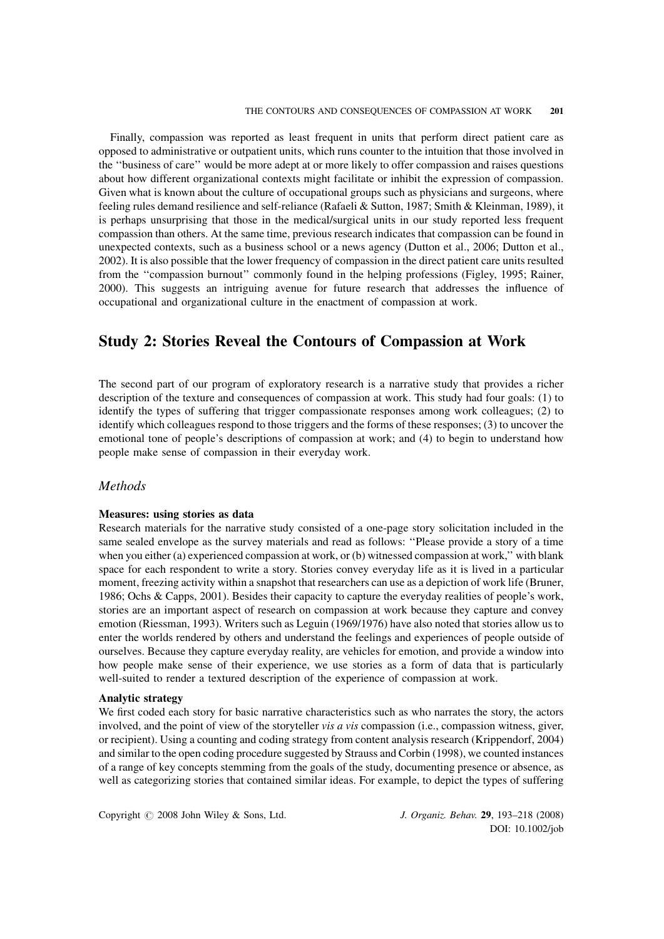Finally, compassion was reported as least frequent in units that perform direct patient care as opposed to administrative or outpatient units, which runs counter to the intuition that those involved in the ''business of care'' would be more adept at or more likely to offer compassion and raises questions about how different organizational contexts might facilitate or inhibit the expression of compassion. Given what is known about the culture of occupational groups such as physicians and surgeons, where feeling rules demand resilience and self-reliance (Rafaeli & Sutton, 1987; Smith & Kleinman, 1989), it is perhaps unsurprising that those in the medical/surgical units in our study reported less frequent compassion than others. At the same time, previous research indicates that compassion can be found in unexpected contexts, such as a business school or a news agency (Dutton et al., 2006; Dutton et al., 2002). It is also possible that the lower frequency of compassion in the direct patient care units resulted from the ''compassion burnout'' commonly found in the helping professions (Figley, 1995; Rainer, 2000). This suggests an intriguing avenue for future research that addresses the influence of occupational and organizational culture in the enactment of compassion at work.

# Study 2: Stories Reveal the Contours of Compassion at Work

The second part of our program of exploratory research is a narrative study that provides a richer description of the texture and consequences of compassion at work. This study had four goals: (1) to identify the types of suffering that trigger compassionate responses among work colleagues; (2) to identify which colleagues respond to those triggers and the forms of these responses; (3) to uncover the emotional tone of people's descriptions of compassion at work; and (4) to begin to understand how people make sense of compassion in their everyday work.

# Methods

### Measures: using stories as data

Research materials for the narrative study consisted of a one-page story solicitation included in the same sealed envelope as the survey materials and read as follows: ''Please provide a story of a time when you either (a) experienced compassion at work, or (b) witnessed compassion at work," with blank space for each respondent to write a story. Stories convey everyday life as it is lived in a particular moment, freezing activity within a snapshot that researchers can use as a depiction of work life (Bruner, 1986; Ochs & Capps, 2001). Besides their capacity to capture the everyday realities of people's work, stories are an important aspect of research on compassion at work because they capture and convey emotion (Riessman, 1993). Writers such as Leguin (1969/1976) have also noted that stories allow us to enter the worlds rendered by others and understand the feelings and experiences of people outside of ourselves. Because they capture everyday reality, are vehicles for emotion, and provide a window into how people make sense of their experience, we use stories as a form of data that is particularly well-suited to render a textured description of the experience of compassion at work.

### Analytic strategy

We first coded each story for basic narrative characteristics such as who narrates the story, the actors involved, and the point of view of the storyteller *vis a vis* compassion (i.e., compassion witness, giver, or recipient). Using a counting and coding strategy from content analysis research (Krippendorf, 2004) and similar to the open coding procedure suggested by Strauss and Corbin (1998), we counted instances of a range of key concepts stemming from the goals of the study, documenting presence or absence, as well as categorizing stories that contained similar ideas. For example, to depict the types of suffering

Copyright © 2008 John Wiley & Sons, Ltd. J. Organiz. Behav. 29, 193-218 (2008)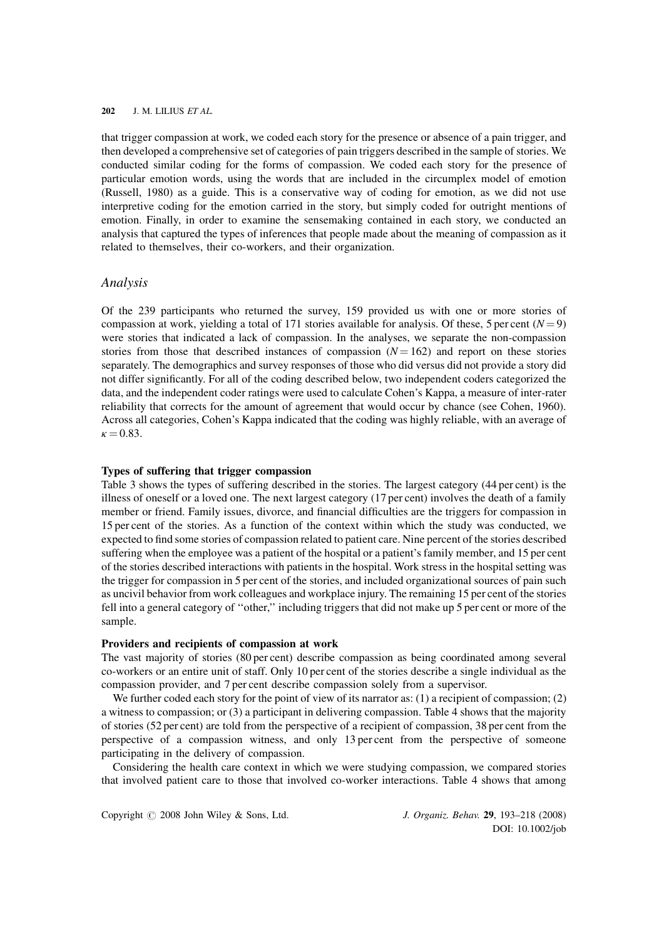that trigger compassion at work, we coded each story for the presence or absence of a pain trigger, and then developed a comprehensive set of categories of pain triggers described in the sample of stories. We conducted similar coding for the forms of compassion. We coded each story for the presence of particular emotion words, using the words that are included in the circumplex model of emotion (Russell, 1980) as a guide. This is a conservative way of coding for emotion, as we did not use interpretive coding for the emotion carried in the story, but simply coded for outright mentions of emotion. Finally, in order to examine the sensemaking contained in each story, we conducted an analysis that captured the types of inferences that people made about the meaning of compassion as it related to themselves, their co-workers, and their organization.

### Analysis

Of the 239 participants who returned the survey, 159 provided us with one or more stories of compassion at work, yielding a total of 171 stories available for analysis. Of these, 5 per cent ( $N = 9$ ) were stories that indicated a lack of compassion. In the analyses, we separate the non-compassion stories from those that described instances of compassion  $(N = 162)$  and report on these stories separately. The demographics and survey responses of those who did versus did not provide a story did not differ significantly. For all of the coding described below, two independent coders categorized the data, and the independent coder ratings were used to calculate Cohen's Kappa, a measure of inter-rater reliability that corrects for the amount of agreement that would occur by chance (see Cohen, 1960). Across all categories, Cohen's Kappa indicated that the coding was highly reliable, with an average of  $\kappa = 0.83$ .

### Types of suffering that trigger compassion

Table 3 shows the types of suffering described in the stories. The largest category (44 per cent) is the illness of oneself or a loved one. The next largest category (17 per cent) involves the death of a family member or friend. Family issues, divorce, and financial difficulties are the triggers for compassion in 15 per cent of the stories. As a function of the context within which the study was conducted, we expected to find some stories of compassion related to patient care. Nine percent of the stories described suffering when the employee was a patient of the hospital or a patient's family member, and 15 per cent of the stories described interactions with patients in the hospital. Work stress in the hospital setting was the trigger for compassion in 5 per cent of the stories, and included organizational sources of pain such as uncivil behavior from work colleagues and workplace injury. The remaining 15 per cent of the stories fell into a general category of ''other,'' including triggers that did not make up 5 per cent or more of the sample.

### Providers and recipients of compassion at work

The vast majority of stories (80 per cent) describe compassion as being coordinated among several co-workers or an entire unit of staff. Only 10 per cent of the stories describe a single individual as the compassion provider, and 7 per cent describe compassion solely from a supervisor.

We further coded each story for the point of view of its narrator as: (1) a recipient of compassion; (2) a witness to compassion; or (3) a participant in delivering compassion. Table 4 shows that the majority of stories (52 per cent) are told from the perspective of a recipient of compassion, 38 per cent from the perspective of a compassion witness, and only 13 per cent from the perspective of someone participating in the delivery of compassion.

Considering the health care context in which we were studying compassion, we compared stories that involved patient care to those that involved co-worker interactions. Table 4 shows that among

Copyright © 2008 John Wiley & Sons, Ltd. J. Organiz. Behav. 29, 193-218 (2008)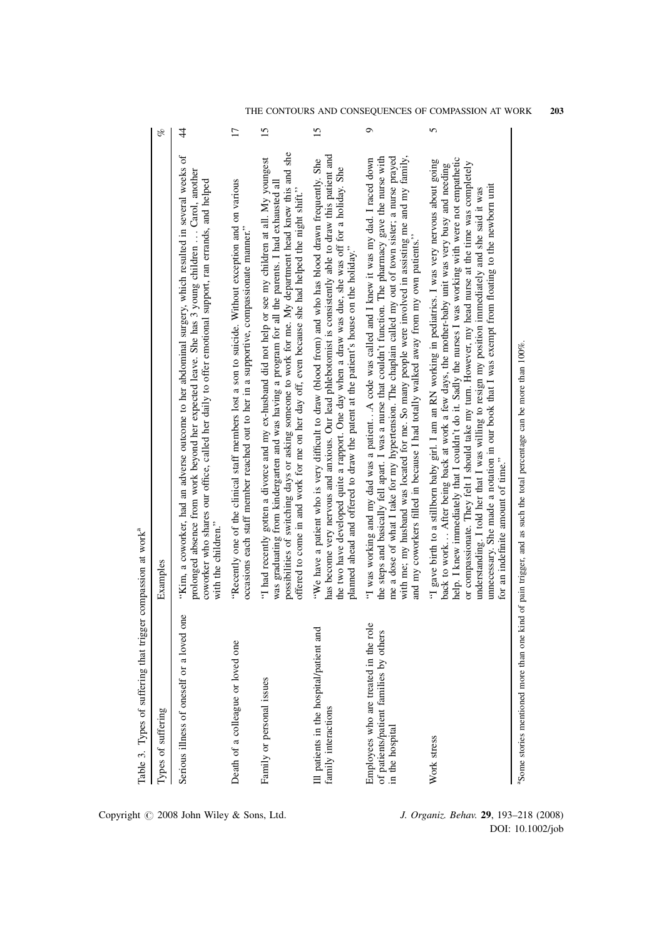| Table 3. Types of suffering that trigger                                                           | compassion at work <sup>a</sup>                                                                                                                                                                                                                                                                                                                                                                                                                                                                                                                                                                                                                                                 |                 |
|----------------------------------------------------------------------------------------------------|---------------------------------------------------------------------------------------------------------------------------------------------------------------------------------------------------------------------------------------------------------------------------------------------------------------------------------------------------------------------------------------------------------------------------------------------------------------------------------------------------------------------------------------------------------------------------------------------------------------------------------------------------------------------------------|-----------------|
| Types of suffering                                                                                 | Examples                                                                                                                                                                                                                                                                                                                                                                                                                                                                                                                                                                                                                                                                        | of              |
| Serious illness of oneself or a loved one                                                          | "Kim, a coworker, had an adverse outcome to her abdominal surgery, which resulted in several weeks of<br>prolonged absence from work beyond her expected leave. She has 3 young children  Carol, another<br>coworker who shares our office, called her daily to offer emotional support, ran errands, and helped<br>with the children."                                                                                                                                                                                                                                                                                                                                         | 4               |
| Death of a colleague or loved one                                                                  | "Recently one of the clinical staff members lost a son to suicide. Without exception and on various<br>occasions each staff member reached out to her in a supportive, compassionate manner."                                                                                                                                                                                                                                                                                                                                                                                                                                                                                   | $\overline{17}$ |
| Family or personal issues                                                                          | possibilities of switching days or asking someone to work for me. My department head knew this and she<br>"I had recently gotten a divorce and my ex-husband did not help or see my children at all. My youngest<br>was graduating from kindergarten and was having a program for all the parents. I had exhausted all<br>offered to come in and work for me on her day off, even because she had helped the night shift."                                                                                                                                                                                                                                                      | $\overline{15}$ |
| Ill patients in the hospital/patient and<br>family interactions                                    | has become very nervous and anxious. Our lead phlebotomist is consistently able to draw this patient and<br>"We have a patient who is very difficult to draw (blood from) and who has blood drawn frequently. She<br>the two have developed quite a rapport. One day when a draw was due, she was off for a holiday. She<br>planned ahead and offered to draw the patent at the patient's house on the holiday."                                                                                                                                                                                                                                                                | 15              |
| Employees who are treated in the role<br>of patients/patient families by others<br>in the hospital | me a dose of what I take for my hypertension. The chaplain called my out of town sister; a nurse prayed<br>with me; my husband was located for me. So many people were involved in assisting me and my family,<br>the steps and basically fell apart. I was a nurse that couldn't function. The pharmacy gave the nurse with<br>"I was working and my dad was a patient. . A code was called and I knew it was my dad. I raced down<br>and my coworkers filled in because I had totally walked away from my own patients."                                                                                                                                                      | $\circ$         |
| Work stress                                                                                        | help. I knew immediately that I couldn't do it. Sadly the nurses I was working with were not empathetic<br>"I gave birth to a stillborn baby girl. I am an RN working in pediatrics. I was very nervous about going<br>or compassionate. They felt I should take my turn. However, my head nurse at the time was completely<br>back to work After being back at work a few days, the mother-baby unit was very busy and needing<br>unnecessary. She made a notation in our book that I was exempt from floating to the newborn unit<br>understanding. I told her that I was willing to resign my position immediately and she said it was<br>for an indefinite amount of time." | 5               |
| Some stories mentioned more than one kind                                                          | of pain trigger, and as such the total percentage can be more than 100%.                                                                                                                                                                                                                                                                                                                                                                                                                                                                                                                                                                                                        |                 |

Copyright  $\odot$  2008 John Wiley & Sons, Ltd.

J. Organiz. Behav. 29, 193-218 (2008) DOI: 10.1002/job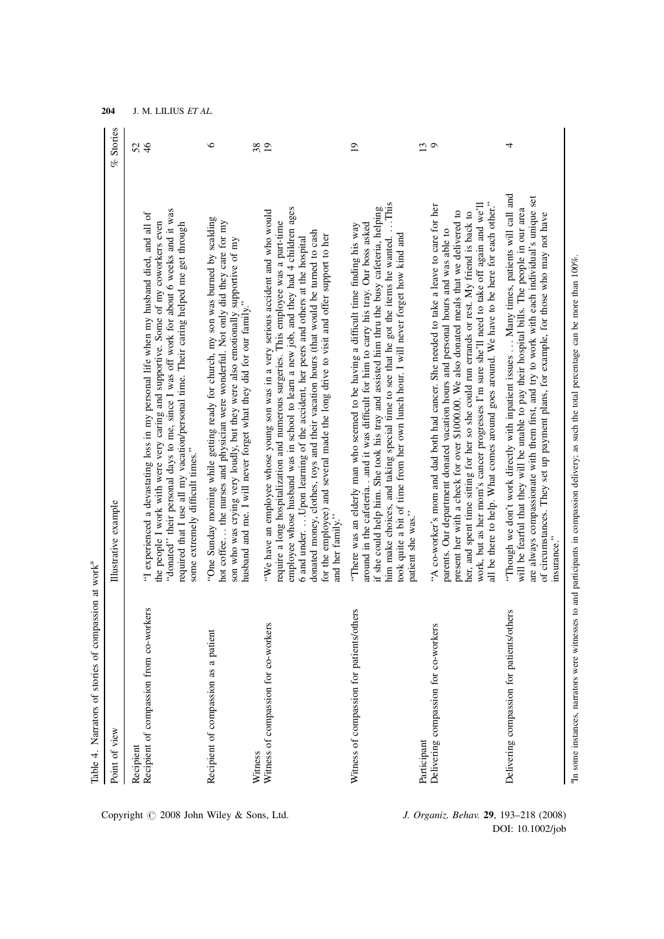| Table 4. Narrators of stories of compassion at work <sup>a</sup> |                                                                                                                                                                                                                                                                                                                                                                                                                                                                                                                                                               |                     |
|------------------------------------------------------------------|---------------------------------------------------------------------------------------------------------------------------------------------------------------------------------------------------------------------------------------------------------------------------------------------------------------------------------------------------------------------------------------------------------------------------------------------------------------------------------------------------------------------------------------------------------------|---------------------|
| Point of view                                                    | Illustrative example                                                                                                                                                                                                                                                                                                                                                                                                                                                                                                                                          | Stories<br>of       |
| ers<br>Recipient of compassion from co-work<br>Recipient         | "donated" their personal days to me, since I was off work for about 6 weeks and it was<br>"I experienced a devastating loss in my personal life when my husband died, and all of<br>the people I work with were very caring and supportive. Some of my coworkers even<br>required that I use all my vacation/personal time. Their caring helped me get through<br>some extremely difficult times."                                                                                                                                                            | 52<br>$\frac{4}{6}$ |
| Recipient of compassion as a patient                             | "One Sunday morning while getting ready for church, my son was burned by scalding<br>hot coffee the nurses and physician were wonderful. Not only did they care for my<br>son who was crying very loudly, but they were also emotionally supportive of my<br>husband and me. I will never forget what they did for our family."                                                                                                                                                                                                                               | $\circ$             |
| Witness of compassion for co-workers<br>Witness                  | employee whose husband was in school to learn a new job, and they had 4 children ages<br>"We have an employee whose young son was in a very serious accident and who would<br>require a long hospitalization and numerous surgeries. This employee was a part-time<br>donated money, clothes, toys and their vacation hours (that would be turned to cash<br>for the employee) and several made the long drive to visit and offer support to her<br>6 and under.  Upon learning of the accident, her peers and others at the hospital<br>and her family."     | $\frac{38}{19}$     |
| Witness of compassion for patients/others                        | him make choices, and taking special time to see that he got the items he wantedThis<br>if she could help him. She took his tray and assisted him thru the busy cafeteria, helping<br>around in the cafeteriaand it was difficult for him to carry his tray. Our boss asked<br>"There was an elderly man who seemed to be having a difficult time finding his way<br>took quite a bit of time from her own lunch hour. I will never forget how kind and<br>patient she was."                                                                                  | $\overline{0}$      |
| Delivering compassion for co-workers<br>Participant              | all be there to help. What comes around goes around. We have to be here for each other."<br>work, but as her mom's cancer progresses I'm sure she'll need to take off again and we'll<br>"A co-worker's mom and dad both had cancer. She needed to take a leave to care for her<br>present her with a check for over \$1000.00. We also donated meals that we delivered to<br>her, and spent time sitting for her so she could run errands or rest. My friend is back to<br>parents. Our department donated vacation hours and personal hours and was able to | 13 <sub>0</sub>     |
| Delivering compassion for patients/others                        | "Though we don't work directly with inpatient issues  Many times, patients will call and<br>are always compassionate with them first, and try to work with each individual's unique set<br>will be fearful that they will be unable to pay their hospital bills. The people in our area<br>of circumstances. They set up payment plans, for example, for those who may not have<br>insurance."                                                                                                                                                                | 4                   |

an some instances, narrators were witnesses to and participants in compassion delivery; as such the total percentage can be more than 100%. <sup>a</sup>In some instances, narrators were witnesses to and participants in compassion delivery; as such the total percentage can be more than  $100\%$ .

Copyright  $\odot$  2008 John Wiley & Sons, Ltd. J. Organiz. Behav. 29, 193-218 (2008)

DOI: 10.1002/job

204 J. M. LILIUS ET AL.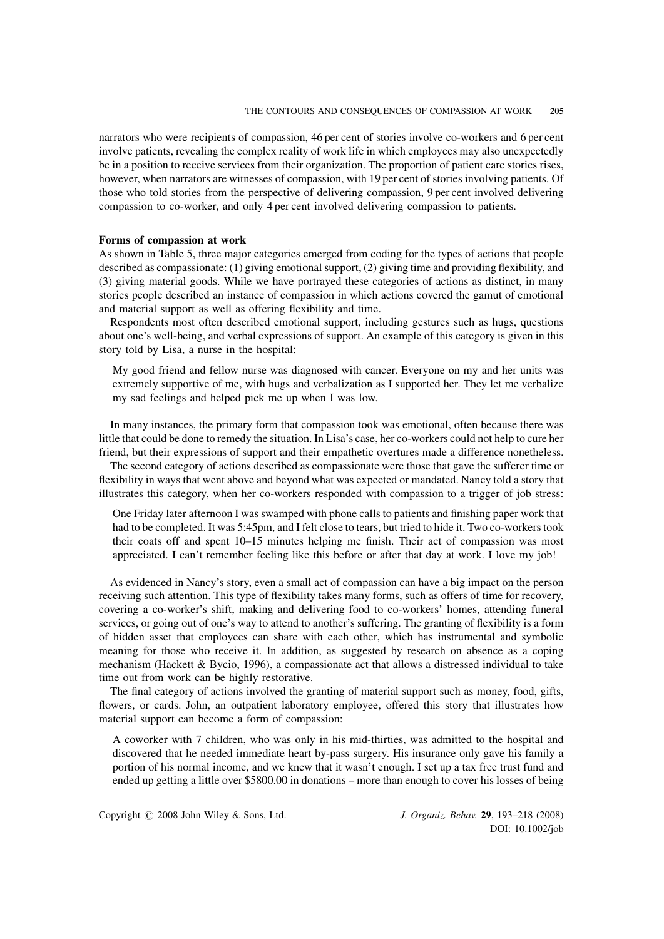narrators who were recipients of compassion, 46 per cent of stories involve co-workers and 6 per cent involve patients, revealing the complex reality of work life in which employees may also unexpectedly be in a position to receive services from their organization. The proportion of patient care stories rises, however, when narrators are witnesses of compassion, with 19 per cent of stories involving patients. Of those who told stories from the perspective of delivering compassion, 9 per cent involved delivering compassion to co-worker, and only 4 per cent involved delivering compassion to patients.

#### Forms of compassion at work

As shown in Table 5, three major categories emerged from coding for the types of actions that people described as compassionate: (1) giving emotional support, (2) giving time and providing flexibility, and (3) giving material goods. While we have portrayed these categories of actions as distinct, in many stories people described an instance of compassion in which actions covered the gamut of emotional and material support as well as offering flexibility and time.

Respondents most often described emotional support, including gestures such as hugs, questions about one's well-being, and verbal expressions of support. An example of this category is given in this story told by Lisa, a nurse in the hospital:

My good friend and fellow nurse was diagnosed with cancer. Everyone on my and her units was extremely supportive of me, with hugs and verbalization as I supported her. They let me verbalize my sad feelings and helped pick me up when I was low.

In many instances, the primary form that compassion took was emotional, often because there was little that could be done to remedy the situation. In Lisa's case, her co-workers could not help to cure her friend, but their expressions of support and their empathetic overtures made a difference nonetheless.

The second category of actions described as compassionate were those that gave the sufferer time or flexibility in ways that went above and beyond what was expected or mandated. Nancy told a story that illustrates this category, when her co-workers responded with compassion to a trigger of job stress:

One Friday later afternoon I was swamped with phone calls to patients and finishing paper work that had to be completed. It was 5:45pm, and I felt close to tears, but tried to hide it. Two co-workers took their coats off and spent 10–15 minutes helping me finish. Their act of compassion was most appreciated. I can't remember feeling like this before or after that day at work. I love my job!

As evidenced in Nancy's story, even a small act of compassion can have a big impact on the person receiving such attention. This type of flexibility takes many forms, such as offers of time for recovery, covering a co-worker's shift, making and delivering food to co-workers' homes, attending funeral services, or going out of one's way to attend to another's suffering. The granting of flexibility is a form of hidden asset that employees can share with each other, which has instrumental and symbolic meaning for those who receive it. In addition, as suggested by research on absence as a coping mechanism (Hackett & Bycio, 1996), a compassionate act that allows a distressed individual to take time out from work can be highly restorative.

The final category of actions involved the granting of material support such as money, food, gifts, flowers, or cards. John, an outpatient laboratory employee, offered this story that illustrates how material support can become a form of compassion:

A coworker with 7 children, who was only in his mid-thirties, was admitted to the hospital and discovered that he needed immediate heart by-pass surgery. His insurance only gave his family a portion of his normal income, and we knew that it wasn't enough. I set up a tax free trust fund and ended up getting a little over \$5800.00 in donations – more than enough to cover his losses of being

Copyright  $\odot$  2008 John Wiley & Sons, Ltd. J. Organiz. Behav. 29, 193–218 (2008)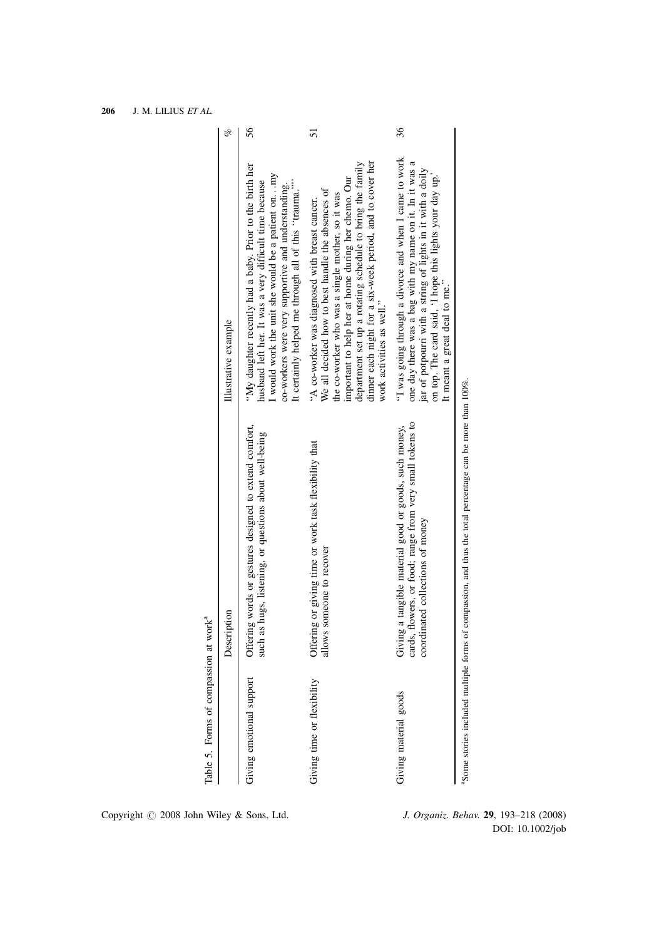| Table 5. Forms of compassion at work <sup>a</sup> |                                                                                                                                                          |                                                                                                                                                                                                                                                                                                                                                                       |    |
|---------------------------------------------------|----------------------------------------------------------------------------------------------------------------------------------------------------------|-----------------------------------------------------------------------------------------------------------------------------------------------------------------------------------------------------------------------------------------------------------------------------------------------------------------------------------------------------------------------|----|
|                                                   | Description                                                                                                                                              | Illustrative example                                                                                                                                                                                                                                                                                                                                                  | Ę  |
| Giving emotional support                          | words or gestures designed to extend comfort,<br>such as hugs, listening, or questions about well-being<br>Offering                                      | "My daughter recently had a baby. Prior to the birth her<br>I would work the unit she would be a patient onmy<br>It certainly helped me through all of this "trauma.""<br>husband left her. It was a very difficult time because<br>co-workers were very supportive and understanding.                                                                                | 56 |
| Giving time or flexibility                        | Offering or giving time or work task flexibility that<br>allows someone to recover                                                                       | dinner each night for a six-week period, and to cover her<br>department set up a rotating schedule to bring the family<br>important to help her at home during her chemo. Our<br>We all decided how to best handle the absences of<br>the co-worker who was a single mother, so it was<br>"A co-worker was diagnosed with breast cancer.<br>work activities as well." | 51 |
| Giving material goods                             | cards, flowers, or food; range from very small tokens to<br>tangible material good or goods, such money,<br>coordinated collections of money<br>Giving a | "I was going through a divorce and when I came to work<br>one day there was a bag with my name on it. In it was a<br>jar of potpourri with a string of lights in it with a doily<br>on top. The card said, 'I hope this lights your day up.'<br>It meant a great deal to me."                                                                                         | 36 |

Copyright  $\odot$  2008 John Wiley & Sons, Ltd. J. Organiz. Behav. 29, 193-218 (2008)

DOI: 10.1002/job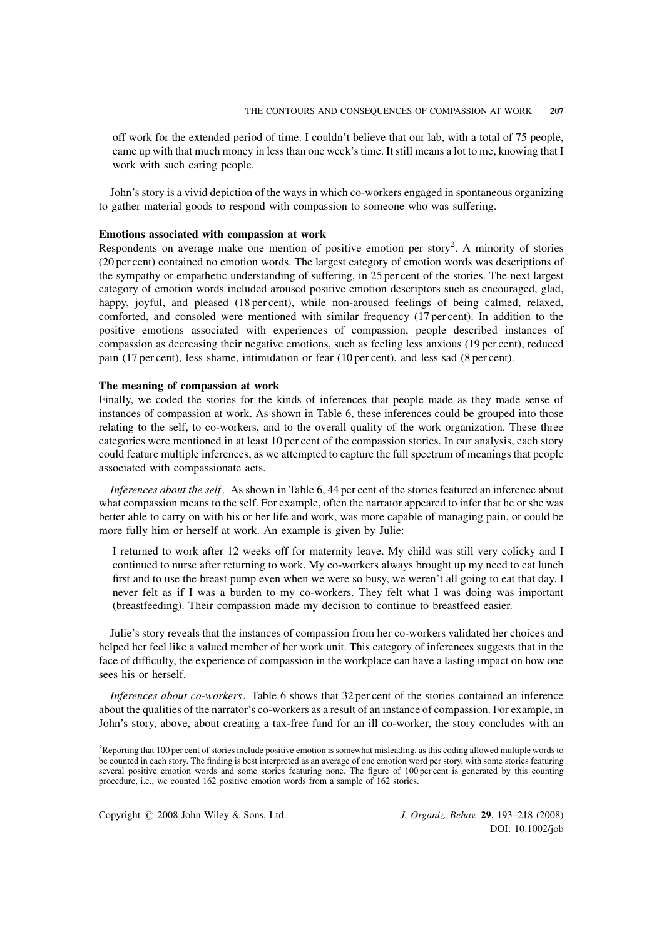off work for the extended period of time. I couldn't believe that our lab, with a total of 75 people, came up with that much money in less than one week's time. It still means a lot to me, knowing that I work with such caring people.

John's story is a vivid depiction of the ways in which co-workers engaged in spontaneous organizing to gather material goods to respond with compassion to someone who was suffering.

### Emotions associated with compassion at work

Respondents on average make one mention of positive emotion per story<sup>2</sup>. A minority of stories (20 per cent) contained no emotion words. The largest category of emotion words was descriptions of the sympathy or empathetic understanding of suffering, in 25 per cent of the stories. The next largest category of emotion words included aroused positive emotion descriptors such as encouraged, glad, happy, joyful, and pleased (18 per cent), while non-aroused feelings of being calmed, relaxed, comforted, and consoled were mentioned with similar frequency (17 per cent). In addition to the positive emotions associated with experiences of compassion, people described instances of compassion as decreasing their negative emotions, such as feeling less anxious (19 per cent), reduced pain (17 per cent), less shame, intimidation or fear (10 per cent), and less sad (8 per cent).

### The meaning of compassion at work

Finally, we coded the stories for the kinds of inferences that people made as they made sense of instances of compassion at work. As shown in Table 6, these inferences could be grouped into those relating to the self, to co-workers, and to the overall quality of the work organization. These three categories were mentioned in at least 10 per cent of the compassion stories. In our analysis, each story could feature multiple inferences, as we attempted to capture the full spectrum of meanings that people associated with compassionate acts.

Inferences about the self. As shown in Table 6, 44 per cent of the stories featured an inference about what compassion means to the self. For example, often the narrator appeared to infer that he or she was better able to carry on with his or her life and work, was more capable of managing pain, or could be more fully him or herself at work. An example is given by Julie:

I returned to work after 12 weeks off for maternity leave. My child was still very colicky and I continued to nurse after returning to work. My co-workers always brought up my need to eat lunch first and to use the breast pump even when we were so busy, we weren't all going to eat that day. I never felt as if I was a burden to my co-workers. They felt what I was doing was important (breastfeeding). Their compassion made my decision to continue to breastfeed easier.

Julie's story reveals that the instances of compassion from her co-workers validated her choices and helped her feel like a valued member of her work unit. This category of inferences suggests that in the face of difficulty, the experience of compassion in the workplace can have a lasting impact on how one sees his or herself.

Inferences about co-workers. Table 6 shows that 32 per cent of the stories contained an inference about the qualities of the narrator's co-workers as a result of an instance of compassion. For example, in John's story, above, about creating a tax-free fund for an ill co-worker, the story concludes with an

Copyright  $\odot$  2008 John Wiley & Sons, Ltd. J. Organiz. Behav. 29, 193–218 (2008)

<sup>&</sup>lt;sup>2</sup>Reporting that 100 per cent of stories include positive emotion is somewhat misleading, as this coding allowed multiple words to be counted in each story. The finding is best interpreted as an average of one emotion word per story, with some stories featuring several positive emotion words and some stories featuring none. The figure of 100 per cent is generated by this counting procedure, i.e., we counted 162 positive emotion words from a sample of 162 stories.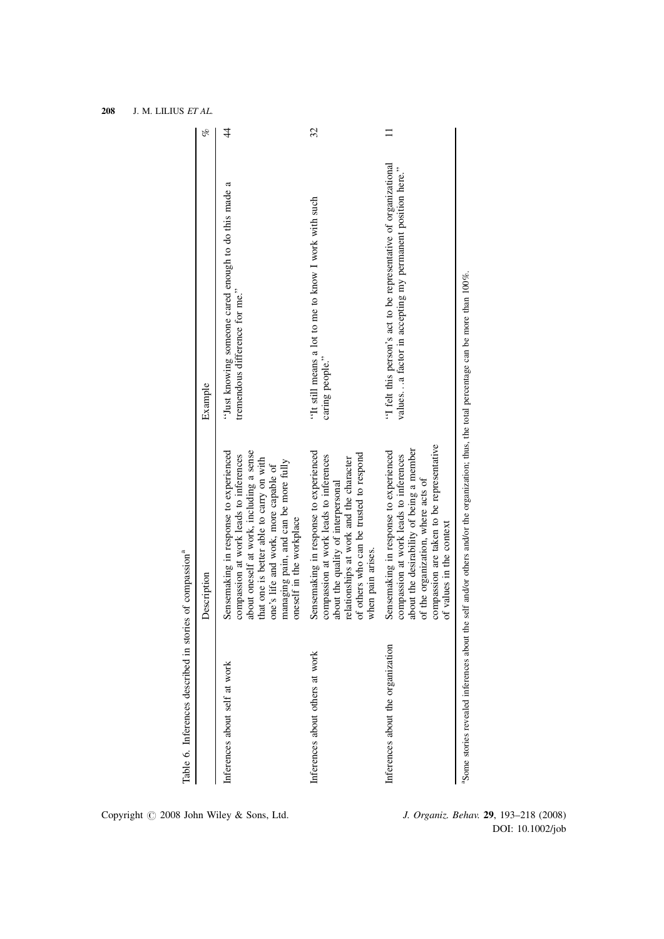| Table 6. Inferences described in stories | of compassion <sup>a</sup><br>Description                                                                                                                                                                                                                                           | Example                                                                                                                      | of |
|------------------------------------------|-------------------------------------------------------------------------------------------------------------------------------------------------------------------------------------------------------------------------------------------------------------------------------------|------------------------------------------------------------------------------------------------------------------------------|----|
| Inferences about self at work            | Sensemaking in response to experienced<br>about oneself at work, including a sense<br>compassion at work leads to inferences<br>hat one is better able to carry on with<br>managing pain, and can be more fully<br>one's life and work, more capable of<br>pneself in the workplace | a<br>"Just knowing someone cared enough to do this made<br>tremendous difference for me."                                    | 4  |
| Inferences about others at work          | Sensemaking in response to experienced<br>of others who can be trusted to respond<br>compassion at work leads to inferences<br>elationships at work and the character<br>about the quality of interpersonal<br>when pain arises.                                                    | "It still means a lot to me to know I work with such<br>caring people."                                                      | 32 |
| Inferences about the organization        | compassion are taken to be representative<br>about the desirability of being a member<br>Sensemaking in response to experienced<br>compassion at work leads to inferences<br>of the organization, where acts of<br>of values in the context                                         | "I felt this person's act to be representative of organizational<br>valuesa factor in accepting my permanent position here." |    |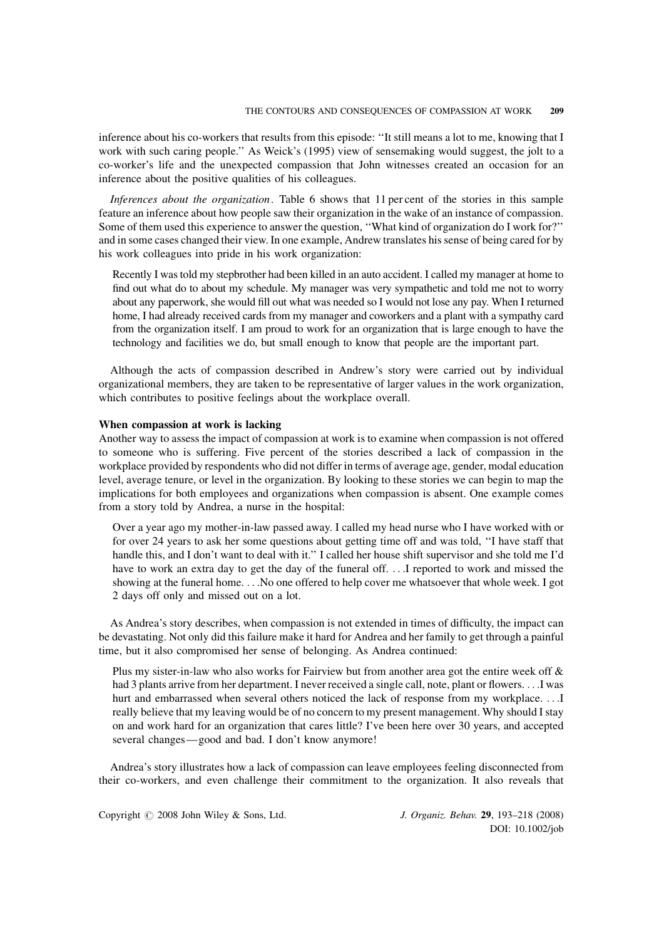inference about his co-workers that results from this episode: ''It still means a lot to me, knowing that I work with such caring people.'' As Weick's (1995) view of sensemaking would suggest, the jolt to a co-worker's life and the unexpected compassion that John witnesses created an occasion for an inference about the positive qualities of his colleagues.

Inferences about the organization. Table 6 shows that 11 per cent of the stories in this sample feature an inference about how people saw their organization in the wake of an instance of compassion. Some of them used this experience to answer the question, ''What kind of organization do I work for?'' and in some cases changed their view. In one example, Andrew translates his sense of being cared for by his work colleagues into pride in his work organization:

Recently I was told my stepbrother had been killed in an auto accident. I called my manager at home to find out what do to about my schedule. My manager was very sympathetic and told me not to worry about any paperwork, she would fill out what was needed so I would not lose any pay. When I returned home, I had already received cards from my manager and coworkers and a plant with a sympathy card from the organization itself. I am proud to work for an organization that is large enough to have the technology and facilities we do, but small enough to know that people are the important part.

Although the acts of compassion described in Andrew's story were carried out by individual organizational members, they are taken to be representative of larger values in the work organization, which contributes to positive feelings about the workplace overall.

#### When compassion at work is lacking

Another way to assess the impact of compassion at work is to examine when compassion is not offered to someone who is suffering. Five percent of the stories described a lack of compassion in the workplace provided by respondents who did not differ in terms of average age, gender, modal education level, average tenure, or level in the organization. By looking to these stories we can begin to map the implications for both employees and organizations when compassion is absent. One example comes from a story told by Andrea, a nurse in the hospital:

Over a year ago my mother-in-law passed away. I called my head nurse who I have worked with or for over 24 years to ask her some questions about getting time off and was told, ''I have staff that handle this, and I don't want to deal with it.'' I called her house shift supervisor and she told me I'd have to work an extra day to get the day of the funeral off. ... I reported to work and missed the showing at the funeral home. ...No one offered to help cover me whatsoever that whole week. I got 2 days off only and missed out on a lot.

As Andrea's story describes, when compassion is not extended in times of difficulty, the impact can be devastating. Not only did this failure make it hard for Andrea and her family to get through a painful time, but it also compromised her sense of belonging. As Andrea continued:

Plus my sister-in-law who also works for Fairview but from another area got the entire week off & had 3 plants arrive from her department. I never received a single call, note, plant or flowers. ...I was hurt and embarrassed when several others noticed the lack of response from my workplace. . . I really believe that my leaving would be of no concern to my present management. Why should I stay on and work hard for an organization that cares little? I've been here over 30 years, and accepted several changes—good and bad. I don't know anymore!

Andrea's story illustrates how a lack of compassion can leave employees feeling disconnected from their co-workers, and even challenge their commitment to the organization. It also reveals that

Copyright  $\odot$  2008 John Wiley & Sons, Ltd. J. Organiz. Behav. 29, 193–218 (2008)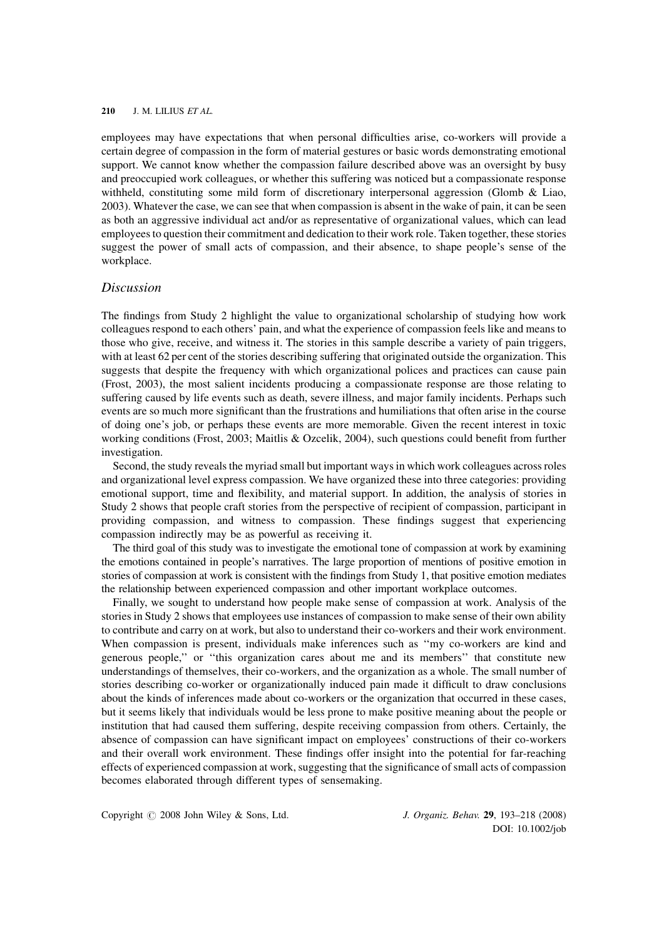employees may have expectations that when personal difficulties arise, co-workers will provide a certain degree of compassion in the form of material gestures or basic words demonstrating emotional support. We cannot know whether the compassion failure described above was an oversight by busy and preoccupied work colleagues, or whether this suffering was noticed but a compassionate response withheld, constituting some mild form of discretionary interpersonal aggression (Glomb & Liao, 2003). Whatever the case, we can see that when compassion is absent in the wake of pain, it can be seen as both an aggressive individual act and/or as representative of organizational values, which can lead employees to question their commitment and dedication to their work role. Taken together, these stories suggest the power of small acts of compassion, and their absence, to shape people's sense of the workplace.

# Discussion

The findings from Study 2 highlight the value to organizational scholarship of studying how work colleagues respond to each others' pain, and what the experience of compassion feels like and means to those who give, receive, and witness it. The stories in this sample describe a variety of pain triggers, with at least 62 per cent of the stories describing suffering that originated outside the organization. This suggests that despite the frequency with which organizational polices and practices can cause pain (Frost, 2003), the most salient incidents producing a compassionate response are those relating to suffering caused by life events such as death, severe illness, and major family incidents. Perhaps such events are so much more significant than the frustrations and humiliations that often arise in the course of doing one's job, or perhaps these events are more memorable. Given the recent interest in toxic working conditions (Frost, 2003; Maitlis & Ozcelik, 2004), such questions could benefit from further investigation.

Second, the study reveals the myriad small but important ways in which work colleagues across roles and organizational level express compassion. We have organized these into three categories: providing emotional support, time and flexibility, and material support. In addition, the analysis of stories in Study 2 shows that people craft stories from the perspective of recipient of compassion, participant in providing compassion, and witness to compassion. These findings suggest that experiencing compassion indirectly may be as powerful as receiving it.

The third goal of this study was to investigate the emotional tone of compassion at work by examining the emotions contained in people's narratives. The large proportion of mentions of positive emotion in stories of compassion at work is consistent with the findings from Study 1, that positive emotion mediates the relationship between experienced compassion and other important workplace outcomes.

Finally, we sought to understand how people make sense of compassion at work. Analysis of the stories in Study 2 shows that employees use instances of compassion to make sense of their own ability to contribute and carry on at work, but also to understand their co-workers and their work environment. When compassion is present, individuals make inferences such as ''my co-workers are kind and generous people,'' or ''this organization cares about me and its members'' that constitute new understandings of themselves, their co-workers, and the organization as a whole. The small number of stories describing co-worker or organizationally induced pain made it difficult to draw conclusions about the kinds of inferences made about co-workers or the organization that occurred in these cases, but it seems likely that individuals would be less prone to make positive meaning about the people or institution that had caused them suffering, despite receiving compassion from others. Certainly, the absence of compassion can have significant impact on employees' constructions of their co-workers and their overall work environment. These findings offer insight into the potential for far-reaching effects of experienced compassion at work, suggesting that the significance of small acts of compassion becomes elaborated through different types of sensemaking.

Copyright  $\odot$  2008 John Wiley & Sons, Ltd. J. Organiz. Behav. 29, 193–218 (2008)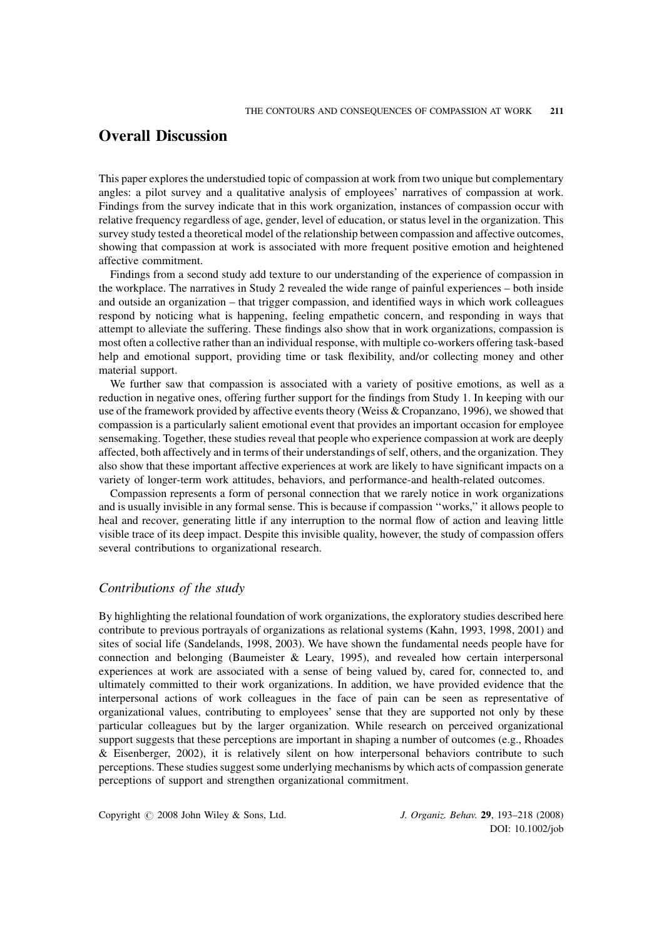# Overall Discussion

This paper explores the understudied topic of compassion at work from two unique but complementary angles: a pilot survey and a qualitative analysis of employees' narratives of compassion at work. Findings from the survey indicate that in this work organization, instances of compassion occur with relative frequency regardless of age, gender, level of education, or status level in the organization. This survey study tested a theoretical model of the relationship between compassion and affective outcomes, showing that compassion at work is associated with more frequent positive emotion and heightened affective commitment.

Findings from a second study add texture to our understanding of the experience of compassion in the workplace. The narratives in Study 2 revealed the wide range of painful experiences – both inside and outside an organization – that trigger compassion, and identified ways in which work colleagues respond by noticing what is happening, feeling empathetic concern, and responding in ways that attempt to alleviate the suffering. These findings also show that in work organizations, compassion is most often a collective rather than an individual response, with multiple co-workers offering task-based help and emotional support, providing time or task flexibility, and/or collecting money and other material support.

We further saw that compassion is associated with a variety of positive emotions, as well as a reduction in negative ones, offering further support for the findings from Study 1. In keeping with our use of the framework provided by affective events theory (Weiss & Cropanzano, 1996), we showed that compassion is a particularly salient emotional event that provides an important occasion for employee sensemaking. Together, these studies reveal that people who experience compassion at work are deeply affected, both affectively and in terms of their understandings of self, others, and the organization. They also show that these important affective experiences at work are likely to have significant impacts on a variety of longer-term work attitudes, behaviors, and performance-and health-related outcomes.

Compassion represents a form of personal connection that we rarely notice in work organizations and is usually invisible in any formal sense. This is because if compassion ''works,'' it allows people to heal and recover, generating little if any interruption to the normal flow of action and leaving little visible trace of its deep impact. Despite this invisible quality, however, the study of compassion offers several contributions to organizational research.

# Contributions of the study

By highlighting the relational foundation of work organizations, the exploratory studies described here contribute to previous portrayals of organizations as relational systems (Kahn, 1993, 1998, 2001) and sites of social life (Sandelands, 1998, 2003). We have shown the fundamental needs people have for connection and belonging (Baumeister & Leary, 1995), and revealed how certain interpersonal experiences at work are associated with a sense of being valued by, cared for, connected to, and ultimately committed to their work organizations. In addition, we have provided evidence that the interpersonal actions of work colleagues in the face of pain can be seen as representative of organizational values, contributing to employees' sense that they are supported not only by these particular colleagues but by the larger organization. While research on perceived organizational support suggests that these perceptions are important in shaping a number of outcomes (e.g., Rhoades & Eisenberger, 2002), it is relatively silent on how interpersonal behaviors contribute to such perceptions. These studies suggest some underlying mechanisms by which acts of compassion generate perceptions of support and strengthen organizational commitment.

Copyright  $\odot$  2008 John Wiley & Sons, Ltd. J. Organiz. Behav. 29, 193–218 (2008)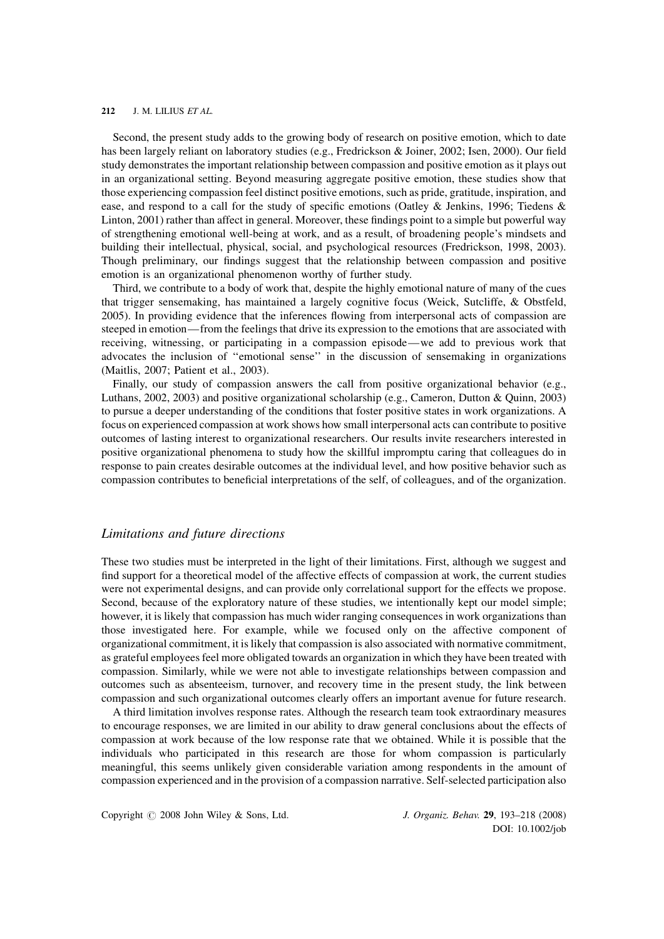Second, the present study adds to the growing body of research on positive emotion, which to date has been largely reliant on laboratory studies (e.g., Fredrickson & Joiner, 2002; Isen, 2000). Our field study demonstrates the important relationship between compassion and positive emotion as it plays out in an organizational setting. Beyond measuring aggregate positive emotion, these studies show that those experiencing compassion feel distinct positive emotions, such as pride, gratitude, inspiration, and ease, and respond to a call for the study of specific emotions (Oatley & Jenkins, 1996; Tiedens & Linton, 2001) rather than affect in general. Moreover, these findings point to a simple but powerful way of strengthening emotional well-being at work, and as a result, of broadening people's mindsets and building their intellectual, physical, social, and psychological resources (Fredrickson, 1998, 2003). Though preliminary, our findings suggest that the relationship between compassion and positive emotion is an organizational phenomenon worthy of further study.

Third, we contribute to a body of work that, despite the highly emotional nature of many of the cues that trigger sensemaking, has maintained a largely cognitive focus (Weick, Sutcliffe, & Obstfeld, 2005). In providing evidence that the inferences flowing from interpersonal acts of compassion are steeped in emotion— from the feelings that drive its expression to the emotions that are associated with receiving, witnessing, or participating in a compassion episode—we add to previous work that advocates the inclusion of ''emotional sense'' in the discussion of sensemaking in organizations (Maitlis, 2007; Patient et al., 2003).

Finally, our study of compassion answers the call from positive organizational behavior (e.g., Luthans, 2002, 2003) and positive organizational scholarship (e.g., Cameron, Dutton & Quinn, 2003) to pursue a deeper understanding of the conditions that foster positive states in work organizations. A focus on experienced compassion at work shows how small interpersonal acts can contribute to positive outcomes of lasting interest to organizational researchers. Our results invite researchers interested in positive organizational phenomena to study how the skillful impromptu caring that colleagues do in response to pain creates desirable outcomes at the individual level, and how positive behavior such as compassion contributes to beneficial interpretations of the self, of colleagues, and of the organization.

### Limitations and future directions

These two studies must be interpreted in the light of their limitations. First, although we suggest and find support for a theoretical model of the affective effects of compassion at work, the current studies were not experimental designs, and can provide only correlational support for the effects we propose. Second, because of the exploratory nature of these studies, we intentionally kept our model simple; however, it is likely that compassion has much wider ranging consequences in work organizations than those investigated here. For example, while we focused only on the affective component of organizational commitment, it is likely that compassion is also associated with normative commitment, as grateful employees feel more obligated towards an organization in which they have been treated with compassion. Similarly, while we were not able to investigate relationships between compassion and outcomes such as absenteeism, turnover, and recovery time in the present study, the link between compassion and such organizational outcomes clearly offers an important avenue for future research.

A third limitation involves response rates. Although the research team took extraordinary measures to encourage responses, we are limited in our ability to draw general conclusions about the effects of compassion at work because of the low response rate that we obtained. While it is possible that the individuals who participated in this research are those for whom compassion is particularly meaningful, this seems unlikely given considerable variation among respondents in the amount of compassion experienced and in the provision of a compassion narrative. Self-selected participation also

Copyright  $\odot$  2008 John Wiley & Sons, Ltd. J. Organiz. Behav. 29, 193–218 (2008)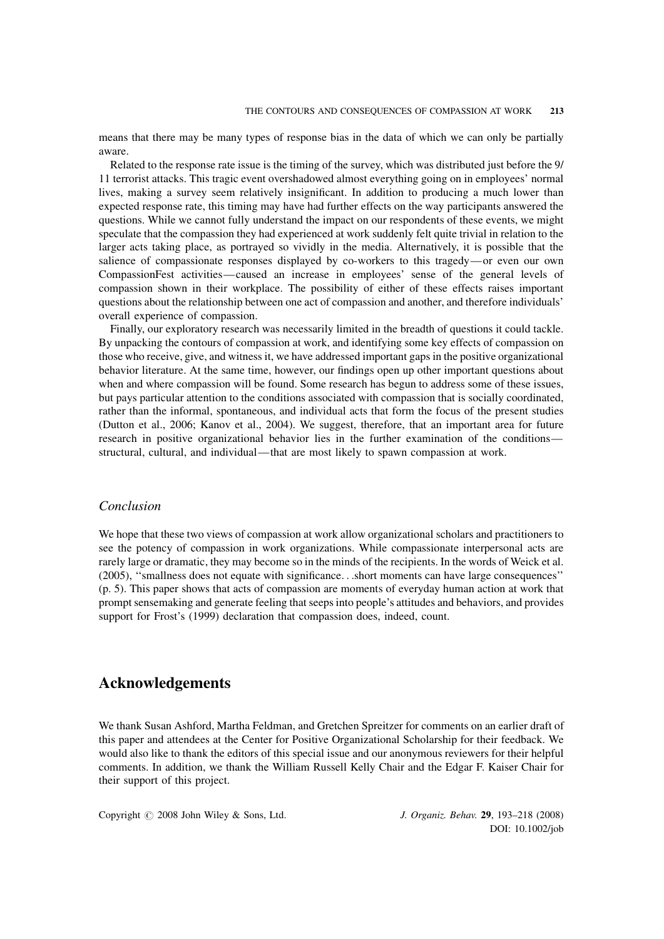means that there may be many types of response bias in the data of which we can only be partially aware.

Related to the response rate issue is the timing of the survey, which was distributed just before the 9/ 11 terrorist attacks. This tragic event overshadowed almost everything going on in employees' normal lives, making a survey seem relatively insignificant. In addition to producing a much lower than expected response rate, this timing may have had further effects on the way participants answered the questions. While we cannot fully understand the impact on our respondents of these events, we might speculate that the compassion they had experienced at work suddenly felt quite trivial in relation to the larger acts taking place, as portrayed so vividly in the media. Alternatively, it is possible that the salience of compassionate responses displayed by co-workers to this tragedy—or even our own CompassionFest activities—caused an increase in employees' sense of the general levels of compassion shown in their workplace. The possibility of either of these effects raises important questions about the relationship between one act of compassion and another, and therefore individuals' overall experience of compassion.

Finally, our exploratory research was necessarily limited in the breadth of questions it could tackle. By unpacking the contours of compassion at work, and identifying some key effects of compassion on those who receive, give, and witness it, we have addressed important gaps in the positive organizational behavior literature. At the same time, however, our findings open up other important questions about when and where compassion will be found. Some research has begun to address some of these issues, but pays particular attention to the conditions associated with compassion that is socially coordinated, rather than the informal, spontaneous, and individual acts that form the focus of the present studies (Dutton et al., 2006; Kanov et al., 2004). We suggest, therefore, that an important area for future research in positive organizational behavior lies in the further examination of the conditions structural, cultural, and individual—that are most likely to spawn compassion at work.

# Conclusion

We hope that these two views of compassion at work allow organizational scholars and practitioners to see the potency of compassion in work organizations. While compassionate interpersonal acts are rarely large or dramatic, they may become so in the minds of the recipients. In the words of Weick et al. (2005), ''smallness does not equate with significance...short moments can have large consequences'' (p. 5). This paper shows that acts of compassion are moments of everyday human action at work that prompt sensemaking and generate feeling that seeps into people's attitudes and behaviors, and provides support for Frost's (1999) declaration that compassion does, indeed, count.

# Acknowledgements

We thank Susan Ashford, Martha Feldman, and Gretchen Spreitzer for comments on an earlier draft of this paper and attendees at the Center for Positive Organizational Scholarship for their feedback. We would also like to thank the editors of this special issue and our anonymous reviewers for their helpful comments. In addition, we thank the William Russell Kelly Chair and the Edgar F. Kaiser Chair for their support of this project.

Copyright  $\odot$  2008 John Wiley & Sons, Ltd. J. Organiz. Behav. 29, 193–218 (2008)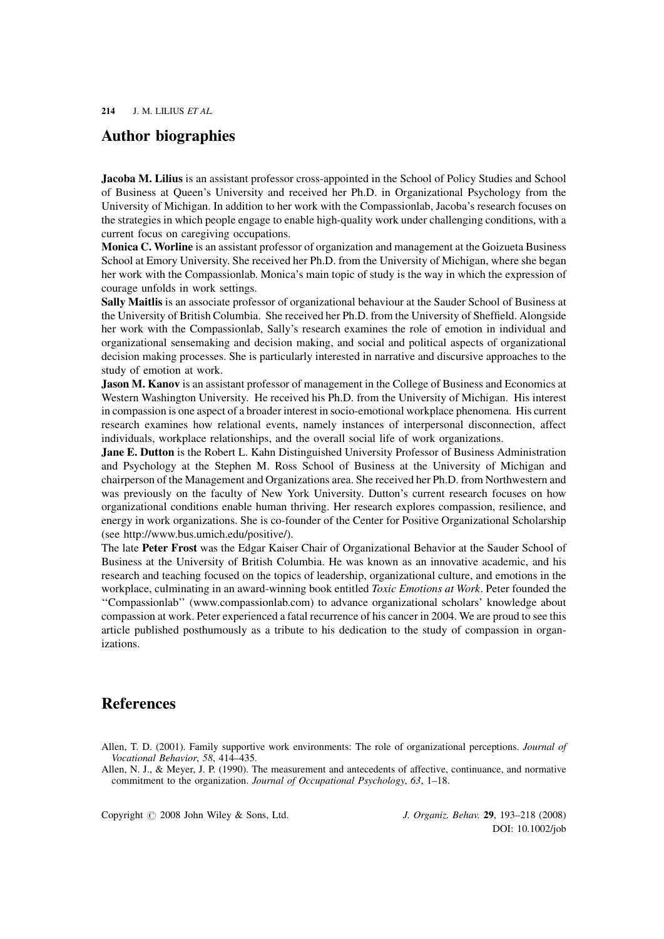# Author biographies

**Jacoba M. Lilius** is an assistant professor cross-appointed in the School of Policy Studies and School of Business at Queen's University and received her Ph.D. in Organizational Psychology from the University of Michigan. In addition to her work with the Compassionlab, Jacoba's research focuses on the strategies in which people engage to enable high-quality work under challenging conditions, with a current focus on caregiving occupations.

**Monica C. Worline** is an assistant professor of organization and management at the Goizueta Business School at Emory University. She received her Ph.D. from the University of Michigan, where she began her work with the Compassionlab. Monica's main topic of study is the way in which the expression of courage unfolds in work settings.

Sally Maitlis is an associate professor of organizational behaviour at the Sauder School of Business at the University of British Columbia. She received her Ph.D. from the University of Sheffield. Alongside her work with the Compassionlab, Sally's research examines the role of emotion in individual and organizational sensemaking and decision making, and social and political aspects of organizational decision making processes. She is particularly interested in narrative and discursive approaches to the study of emotion at work.

Jason M. Kanov is an assistant professor of management in the College of Business and Economics at Western Washington University. He received his Ph.D. from the University of Michigan. His interest in compassion is one aspect of a broader interest in socio-emotional workplace phenomena. His current research examines how relational events, namely instances of interpersonal disconnection, affect individuals, workplace relationships, and the overall social life of work organizations.

**Jane E. Dutton** is the Robert L. Kahn Distinguished University Professor of Business Administration and Psychology at the Stephen M. Ross School of Business at the University of Michigan and chairperson of the Management and Organizations area. She received her Ph.D. from Northwestern and was previously on the faculty of New York University. Dutton's current research focuses on how organizational conditions enable human thriving. Her research explores compassion, resilience, and energy in work organizations. She is co-founder of the Center for Positive Organizational Scholarship (see http://www.bus.umich.edu/positive/).

The late Peter Frost was the Edgar Kaiser Chair of Organizational Behavior at the Sauder School of Business at the University of British Columbia. He was known as an innovative academic, and his research and teaching focused on the topics of leadership, organizational culture, and emotions in the workplace, culminating in an award-winning book entitled Toxic Emotions at Work. Peter founded the ''Compassionlab'' (www.compassionlab.com) to advance organizational scholars' knowledge about compassion at work. Peter experienced a fatal recurrence of his cancer in 2004. We are proud to see this article published posthumously as a tribute to his dedication to the study of compassion in organizations.

# **References**

Allen, T. D. (2001). Family supportive work environments: The role of organizational perceptions. Journal of Vocational Behavior, 58, 414–435.

Allen, N. J., & Meyer, J. P. (1990). The measurement and antecedents of affective, continuance, and normative commitment to the organization. Journal of Occupational Psychology, 63, 1–18.

Copyright  $\odot$  2008 John Wiley & Sons, Ltd. J. Organiz. Behav. 29, 193–218 (2008)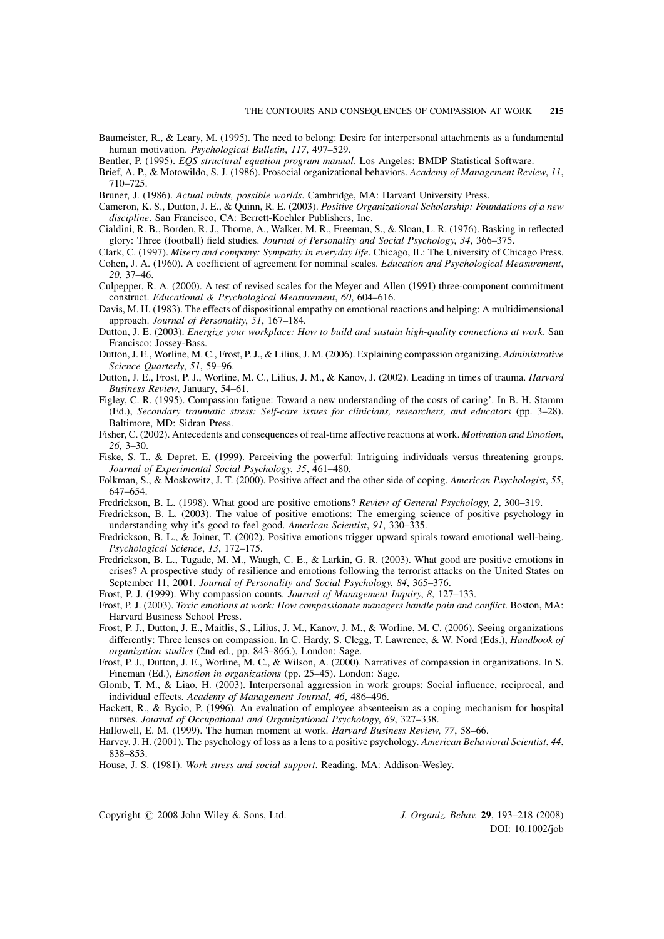Baumeister, R., & Leary, M. (1995). The need to belong: Desire for interpersonal attachments as a fundamental human motivation. Psychological Bulletin, 117, 497–529.

Bentler, P. (1995). EQS structural equation program manual. Los Angeles: BMDP Statistical Software.

- Brief, A. P., & Motowildo, S. J. (1986). Prosocial organizational behaviors. Academy of Management Review, 11, 710–725.
- Bruner, J. (1986). Actual minds, possible worlds. Cambridge, MA: Harvard University Press.
- Cameron, K. S., Dutton, J. E., & Quinn, R. E. (2003). Positive Organizational Scholarship: Foundations of a new discipline. San Francisco, CA: Berrett-Koehler Publishers, Inc.
- Cialdini, R. B., Borden, R. J., Thorne, A., Walker, M. R., Freeman, S., & Sloan, L. R. (1976). Basking in reflected glory: Three (football) field studies. Journal of Personality and Social Psychology, 34, 366–375.
- Clark, C. (1997). Misery and company: Sympathy in everyday life. Chicago, IL: The University of Chicago Press.
- Cohen, J. A. (1960). A coefficient of agreement for nominal scales. Education and Psychological Measurement, 20, 37–46.
- Culpepper, R. A. (2000). A test of revised scales for the Meyer and Allen (1991) three-component commitment construct. Educational & Psychological Measurement, 60, 604–616.
- Davis, M. H. (1983). The effects of dispositional empathy on emotional reactions and helping: A multidimensional approach. Journal of Personality, 51, 167–184.
- Dutton, J. E. (2003). Energize your workplace: How to build and sustain high-quality connections at work. San Francisco: Jossey-Bass.
- Dutton, J. E., Worline, M. C., Frost, P. J., & Lilius, J. M. (2006). Explaining compassion organizing. Administrative Science Quarterly, 51, 59–96.
- Dutton, J. E., Frost, P. J., Worline, M. C., Lilius, J. M., & Kanov, J. (2002). Leading in times of trauma. Harvard Business Review, January, 54–61.
- Figley, C. R. (1995). Compassion fatigue: Toward a new understanding of the costs of caring'. In B. H. Stamm (Ed.), Secondary traumatic stress: Self-care issues for clinicians, researchers, and educators (pp. 3–28). Baltimore, MD: Sidran Press.
- Fisher, C. (2002). Antecedents and consequences of real-time affective reactions at work. Motivation and Emotion, 26, 3–30.
- Fiske, S. T., & Depret, E. (1999). Perceiving the powerful: Intriguing individuals versus threatening groups. Journal of Experimental Social Psychology, 35, 461–480.
- Folkman, S., & Moskowitz, J. T. (2000). Positive affect and the other side of coping. American Psychologist, 55, 647–654.
- Fredrickson, B. L. (1998). What good are positive emotions? Review of General Psychology, 2, 300–319.
- Fredrickson, B. L. (2003). The value of positive emotions: The emerging science of positive psychology in understanding why it's good to feel good. American Scientist, 91, 330–335.
- Fredrickson, B. L., & Joiner, T. (2002). Positive emotions trigger upward spirals toward emotional well-being. Psychological Science, 13, 172–175.
- Fredrickson, B. L., Tugade, M. M., Waugh, C. E., & Larkin, G. R. (2003). What good are positive emotions in crises? A prospective study of resilience and emotions following the terrorist attacks on the United States on September 11, 2001. Journal of Personality and Social Psychology, 84, 365–376.

Frost, P. J. (1999). Why compassion counts. Journal of Management Inquiry, 8, 127–133.

- Frost, P. J. (2003). Toxic emotions at work: How compassionate managers handle pain and conflict. Boston, MA: Harvard Business School Press.
- Frost, P. J., Dutton, J. E., Maitlis, S., Lilius, J. M., Kanov, J. M., & Worline, M. C. (2006). Seeing organizations differently: Three lenses on compassion. In C. Hardy, S. Clegg, T. Lawrence, & W. Nord (Eds.), Handbook of organization studies (2nd ed., pp. 843–866.), London: Sage.
- Frost, P. J., Dutton, J. E., Worline, M. C., & Wilson, A. (2000). Narratives of compassion in organizations. In S. Fineman (Ed.), Emotion in organizations (pp. 25–45). London: Sage.
- Glomb, T. M., & Liao, H. (2003). Interpersonal aggression in work groups: Social influence, reciprocal, and individual effects. Academy of Management Journal, 46, 486–496.
- Hackett, R., & Bycio, P. (1996). An evaluation of employee absenteeism as a coping mechanism for hospital nurses. Journal of Occupational and Organizational Psychology, 69, 327–338.

Hallowell, E. M. (1999). The human moment at work. Harvard Business Review, 77, 58–66.

Harvey, J. H. (2001). The psychology of loss as a lens to a positive psychology. American Behavioral Scientist, 44, 838–853.

House, J. S. (1981). Work stress and social support. Reading, MA: Addison-Wesley.

Copyright  $\odot$  2008 John Wiley & Sons, Ltd. J. Organiz. Behav. 29, 193–218 (2008)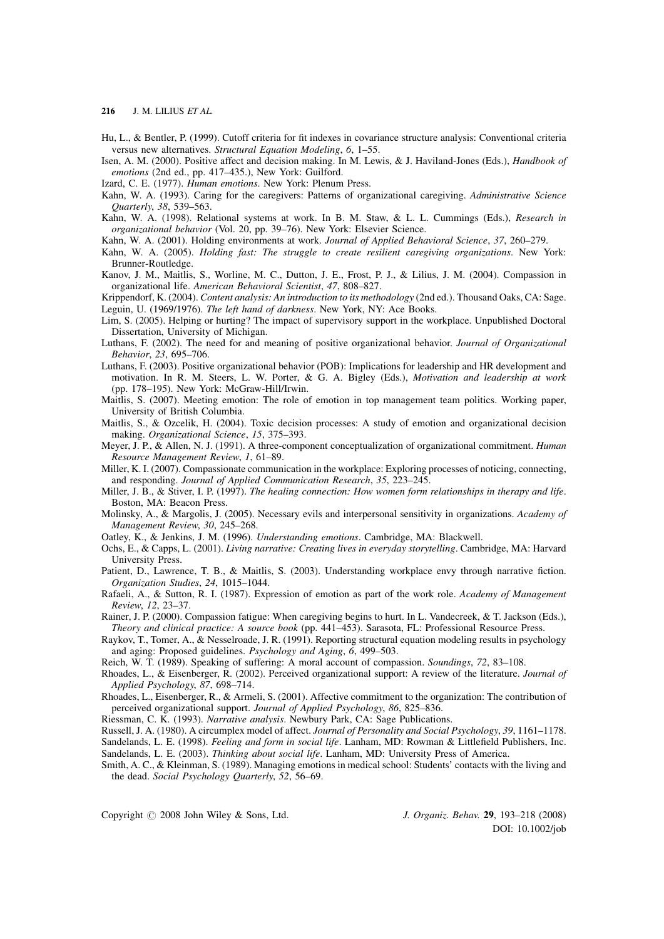#### 216 J. M. LILIUS  $ETAI$

- Hu, L., & Bentler, P. (1999). Cutoff criteria for fit indexes in covariance structure analysis: Conventional criteria versus new alternatives. Structural Equation Modeling, 6, 1–55.
- Isen, A. M. (2000). Positive affect and decision making. In M. Lewis, & J. Haviland-Jones (Eds.), *Handbook of* emotions (2nd ed., pp. 417–435.), New York: Guilford.
- Izard, C. E. (1977). Human emotions. New York: Plenum Press.
- Kahn, W. A. (1993). Caring for the caregivers: Patterns of organizational caregiving. Administrative Science Quarterly, 38, 539–563.
- Kahn, W. A. (1998). Relational systems at work. In B. M. Staw, & L. L. Cummings (Eds.), Research in organizational behavior (Vol. 20, pp. 39–76). New York: Elsevier Science.

Kahn, W. A. (2001). Holding environments at work. Journal of Applied Behavioral Science, 37, 260–279.

Kahn, W. A. (2005). Holding fast: The struggle to create resilient caregiving organizations. New York: Brunner-Routledge.

Kanov, J. M., Maitlis, S., Worline, M. C., Dutton, J. E., Frost, P. J., & Lilius, J. M. (2004). Compassion in organizational life. American Behavioral Scientist, 47, 808–827.

Krippendorf, K. (2004). Content analysis: An introduction to its methodology (2nd ed.). Thousand Oaks, CA: Sage. Leguin, U. (1969/1976). The left hand of darkness. New York, NY: Ace Books.

Lim, S. (2005). Helping or hurting? The impact of supervisory support in the workplace. Unpublished Doctoral Dissertation, University of Michigan.

- Luthans, F. (2002). The need for and meaning of positive organizational behavior. Journal of Organizational Behavior, 23, 695–706.
- Luthans, F. (2003). Positive organizational behavior (POB): Implications for leadership and HR development and motivation. In R. M. Steers, L. W. Porter, & G. A. Bigley (Eds.), Motivation and leadership at work (pp. 178–195). New York: McGraw-Hill/Irwin.
- Maitlis, S. (2007). Meeting emotion: The role of emotion in top management team politics. Working paper, University of British Columbia.
- Maitlis, S., & Ozcelik, H. (2004). Toxic decision processes: A study of emotion and organizational decision making. Organizational Science, 15, 375–393.
- Meyer, J. P., & Allen, N. J. (1991). A three-component conceptualization of organizational commitment. Human Resource Management Review, 1, 61–89.

Miller, K. I. (2007). Compassionate communication in the workplace: Exploring processes of noticing, connecting, and responding. Journal of Applied Communication Research, 35, 223–245.

- Miller, J. B., & Stiver, I. P. (1997). The healing connection: How women form relationships in therapy and life. Boston, MA: Beacon Press.
- Molinsky, A., & Margolis, J. (2005). Necessary evils and interpersonal sensitivity in organizations. Academy of Management Review, 30, 245–268.
- Oatley, K., & Jenkins, J. M. (1996). Understanding emotions. Cambridge, MA: Blackwell.

Ochs, E., & Capps, L. (2001). Living narrative: Creating lives in everyday storytelling. Cambridge, MA: Harvard University Press.

Patient, D., Lawrence, T. B., & Maitlis, S. (2003). Understanding workplace envy through narrative fiction. Organization Studies, 24, 1015–1044.

- Rafaeli, A., & Sutton, R. I. (1987). Expression of emotion as part of the work role. Academy of Management Review, 12, 23–37.
- Rainer, J. P. (2000). Compassion fatigue: When caregiving begins to hurt. In L. Vandecreek, & T. Jackson (Eds.), Theory and clinical practice: A source book (pp. 441–453). Sarasota, FL: Professional Resource Press.

Raykov, T., Tomer, A., & Nesselroade, J. R. (1991). Reporting structural equation modeling results in psychology and aging: Proposed guidelines. Psychology and Aging, 6, 499–503.

Reich, W. T. (1989). Speaking of suffering: A moral account of compassion. Soundings, 72, 83–108.

Rhoades, L., & Eisenberger, R. (2002). Perceived organizational support: A review of the literature. Journal of Applied Psychology, 87, 698–714.

Rhoades, L., Eisenberger, R., & Armeli, S. (2001). Affective commitment to the organization: The contribution of perceived organizational support. Journal of Applied Psychology, 86, 825-836.

Riessman, C. K. (1993). Narrative analysis. Newbury Park, CA: Sage Publications.

Russell, J. A. (1980). A circumplex model of affect. Journal of Personality and Social Psychology, 39, 1161–1178. Sandelands, L. E. (1998). Feeling and form in social life. Lanham, MD: Rowman & Littlefield Publishers, Inc. Sandelands, L. E. (2003). Thinking about social life. Lanham, MD: University Press of America.

Smith, A. C., & Kleinman, S. (1989). Managing emotions in medical school: Students' contacts with the living and the dead. Social Psychology Quarterly, 52, 56–69.

Copyright  $\odot$  2008 John Wiley & Sons, Ltd. J. Organiz. Behav. 29, 193–218 (2008)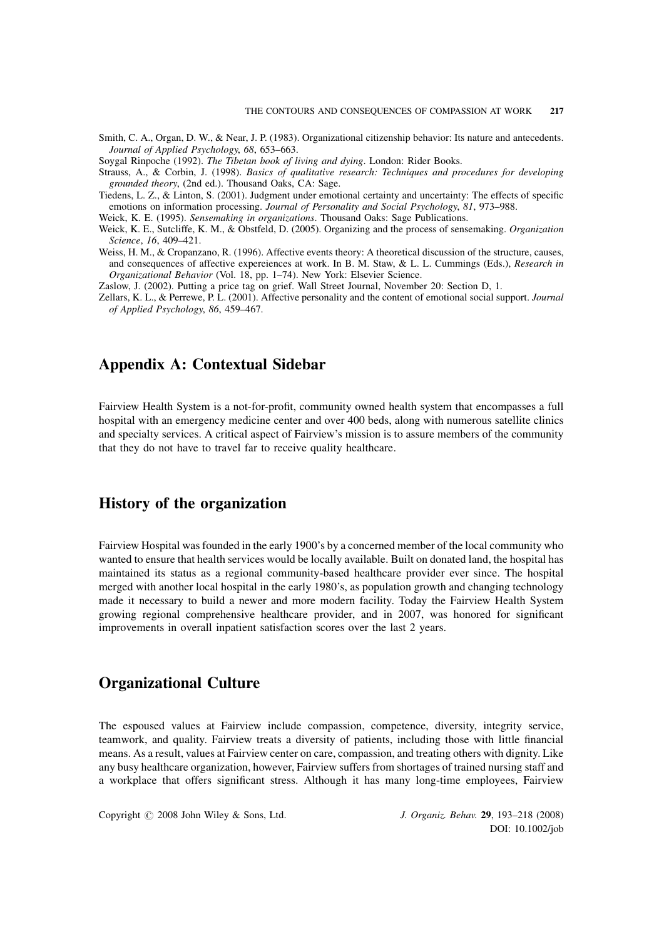Smith, C. A., Organ, D. W., & Near, J. P. (1983). Organizational citizenship behavior: Its nature and antecedents. Journal of Applied Psychology, 68, 653–663.

Soygal Rinpoche (1992). The Tibetan book of living and dying. London: Rider Books.

- Strauss, A., & Corbin, J. (1998). Basics of qualitative research: Techniques and procedures for developing grounded theory, (2nd ed.). Thousand Oaks, CA: Sage.
- Tiedens, L. Z., & Linton, S. (2001). Judgment under emotional certainty and uncertainty: The effects of specific emotions on information processing. Journal of Personality and Social Psychology, 81, 973–988.

Weick, K. E. (1995). Sensemaking in organizations. Thousand Oaks: Sage Publications.

- Weick, K. E., Sutcliffe, K. M., & Obstfeld, D. (2005). Organizing and the process of sensemaking. Organization Science, 16, 409–421.
- Weiss, H. M., & Cropanzano, R. (1996). Affective events theory: A theoretical discussion of the structure, causes, and consequences of affective expereiences at work. In B. M. Staw, & L. L. Cummings (Eds.), Research in Organizational Behavior (Vol. 18, pp. 1–74). New York: Elsevier Science.

Zaslow, J. (2002). Putting a price tag on grief. Wall Street Journal, November 20: Section D, 1.

Zellars, K. L., & Perrewe, P. L. (2001). Affective personality and the content of emotional social support. Journal of Applied Psychology, 86, 459–467.

# Appendix A: Contextual Sidebar

Fairview Health System is a not-for-profit, community owned health system that encompasses a full hospital with an emergency medicine center and over 400 beds, along with numerous satellite clinics and specialty services. A critical aspect of Fairview's mission is to assure members of the community that they do not have to travel far to receive quality healthcare.

# History of the organization

Fairview Hospital was founded in the early 1900's by a concerned member of the local community who wanted to ensure that health services would be locally available. Built on donated land, the hospital has maintained its status as a regional community-based healthcare provider ever since. The hospital merged with another local hospital in the early 1980's, as population growth and changing technology made it necessary to build a newer and more modern facility. Today the Fairview Health System growing regional comprehensive healthcare provider, and in 2007, was honored for significant improvements in overall inpatient satisfaction scores over the last 2 years.

# Organizational Culture

The espoused values at Fairview include compassion, competence, diversity, integrity service, teamwork, and quality. Fairview treats a diversity of patients, including those with little financial means. As a result, values at Fairview center on care, compassion, and treating others with dignity. Like any busy healthcare organization, however, Fairview suffers from shortages of trained nursing staff and a workplace that offers significant stress. Although it has many long-time employees, Fairview

Copyright  $\odot$  2008 John Wiley & Sons, Ltd. J. Organiz. Behav. 29, 193–218 (2008)